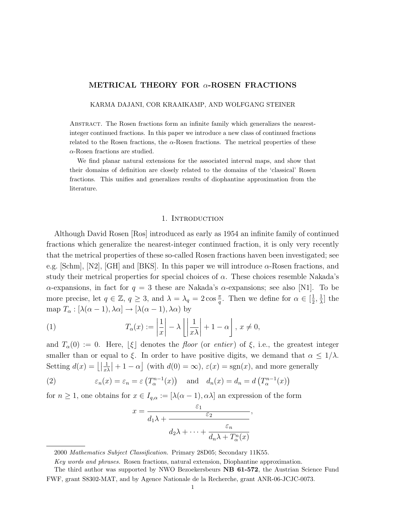# METRICAL THEORY FOR α-ROSEN FRACTIONS

KARMA DAJANI, COR KRAAIKAMP, AND WOLFGANG STEINER

Abstract. The Rosen fractions form an infinite family which generalizes the nearestinteger continued fractions. In this paper we introduce a new class of continued fractions related to the Rosen fractions, the  $\alpha$ -Rosen fractions. The metrical properties of these  $\alpha$ -Rosen fractions are studied.

We find planar natural extensions for the associated interval maps, and show that their domains of definition are closely related to the domains of the 'classical' Rosen fractions. This unifies and generalizes results of diophantine approximation from the literature.

### 1. INTRODUCTION

Although David Rosen [Ros] introduced as early as 1954 an infinite family of continued fractions which generalize the nearest-integer continued fraction, it is only very recently that the metrical properties of these so-called Rosen fractions haven been investigated; see e.g. [Schm], [N2], [GH] and [BKS]. In this paper we will introduce  $\alpha$ -Rosen fractions, and study their metrical properties for special choices of  $\alpha$ . These choices resemble Nakada's α-expansions, in fact for  $q = 3$  these are Nakada's α-expansions; see also [N1]. To be more precise, let  $q \in \mathbb{Z}$ ,  $q \geq 3$ , and  $\lambda = \lambda_q = 2 \cos \frac{\pi}{q}$ . Then we define for  $\alpha \in \left[\frac{1}{2}\right]$  $\frac{1}{2}, \frac{1}{\lambda}$  $\frac{1}{\lambda}$ ] the map  $T_{\alpha} : [\lambda(\alpha - 1), \lambda \alpha] \rightarrow [\lambda(\alpha - 1), \lambda \alpha)$  by

(1) 
$$
T_{\alpha}(x) := \left| \frac{1}{x} \right| - \lambda \left| \left| \frac{1}{x \lambda} \right| + 1 - \alpha \right|, x \neq 0,
$$

and  $T_{\alpha}(0) := 0$ . Here,  $|\xi|$  denotes the *floor* (or *entier*) of  $\xi$ , i.e., the greatest integer smaller than or equal to  $\xi$ . In order to have positive digits, we demand that  $\alpha \leq 1/\lambda$ . Setting  $d(x) = \lfloor \frac{1}{x^2} \rfloor$  $\frac{1}{x\lambda}\Big| + 1 - \alpha\Big|$  (with  $d(0) = \infty$ ),  $\varepsilon(x) = \text{sgn}(x)$ , and more generally

(2) 
$$
\varepsilon_n(x) = \varepsilon_n = \varepsilon \left( T_{\alpha}^{n-1}(x) \right)
$$
 and  $d_n(x) = d_n = d \left( T_{\alpha}^{n-1}(x) \right)$ 

for  $n \geq 1$ , one obtains for  $x \in I_{q,\alpha} := [\lambda(\alpha-1), \alpha\lambda]$  an expression of the form

$$
x = \frac{\varepsilon_1}{d_1 \lambda + \frac{\varepsilon_2}{d_2 \lambda + \dots + \frac{\varepsilon_n}{d_n \lambda + T_\alpha^n(x)}}},
$$

<sup>2000</sup> Mathematics Subject Classification. Primary 28D05; Secondary 11K55.

Key words and phrases. Rosen fractions, natural extension, Diophantine approximation.

The third author was supported by NWO Bezoekersbeurs NB 61-572, the Austrian Science Fund FWF, grant S8302-MAT, and by Agence Nationale de la Recherche, grant ANR-06-JCJC-0073.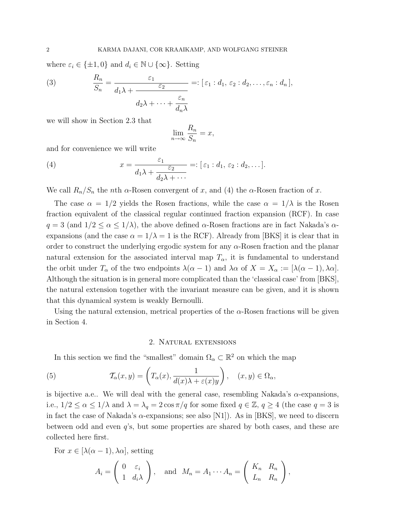where  $\varepsilon_i \in {\pm 1, 0}$  and  $d_i \in \mathbb{N} \cup {\infty}$ . Setting

(3) 
$$
\frac{R_n}{S_n} = \frac{\varepsilon_1}{d_1 \lambda + \frac{\varepsilon_2}{d_2 \lambda + \dots + \frac{\varepsilon_n}{d_n \lambda}}} =: [\varepsilon_1 : d_1, \varepsilon_2 : d_2, \dots, \varepsilon_n : d_n],
$$

we will show in Section 2.3 that

$$
\lim_{n \to \infty} \frac{R_n}{S_n} = x,
$$

and for convenience we will write

(4) 
$$
x = \frac{\varepsilon_1}{d_1 \lambda + \frac{\varepsilon_2}{d_2 \lambda + \cdots}} =: [\varepsilon_1 : d_1, \varepsilon_2 : d_2, \dots].
$$

We call  $R_n/S_n$  the nth  $\alpha$ -Rosen convergent of x, and (4) the  $\alpha$ -Rosen fraction of x.

The case  $\alpha = 1/2$  yields the Rosen fractions, while the case  $\alpha = 1/\lambda$  is the Rosen fraction equivalent of the classical regular continued fraction expansion (RCF). In case  $q = 3$  (and  $1/2 \leq \alpha \leq 1/\lambda$ ), the above defined  $\alpha$ -Rosen fractions are in fact Nakada's  $\alpha$ expansions (and the case  $\alpha = 1/\lambda = 1$  is the RCF). Already from [BKS] it is clear that in order to construct the underlying ergodic system for any  $\alpha$ -Rosen fraction and the planar natural extension for the associated interval map  $T_{\alpha}$ , it is fundamental to understand the orbit under  $T_{\alpha}$  of the two endpoints  $\lambda(\alpha - 1)$  and  $\lambda \alpha$  of  $X = X_{\alpha} := [\lambda(\alpha - 1), \lambda \alpha]$ . Although the situation is in general more complicated than the 'classical case' from [BKS], the natural extension together with the invariant measure can be given, and it is shown that this dynamical system is weakly Bernoulli.

Using the natural extension, metrical properties of the  $\alpha$ -Rosen fractions will be given in Section 4.

## 2. Natural extensions

In this section we find the "smallest" domain  $\Omega_{\alpha} \subset \mathbb{R}^2$  on which the map

(5) 
$$
\mathcal{T}_{\alpha}(x,y) = \left(T_{\alpha}(x), \frac{1}{d(x)\lambda + \varepsilon(x)y}\right), \quad (x,y) \in \Omega_{\alpha},
$$

is bijective a.e.. We will deal with the general case, resembling Nakada's  $\alpha$ -expansions, i.e.,  $1/2 \le \alpha \le 1/\lambda$  and  $\lambda = \lambda_q = 2 \cos \pi/q$  for some fixed  $q \in \mathbb{Z}$ ,  $q \ge 4$  (the case  $q = 3$  is in fact the case of Nakada's  $\alpha$ -expansions; see also [N1]). As in [BKS], we need to discern between odd and even q's, but some properties are shared by both cases, and these are collected here first.

For  $x \in [\lambda(\alpha-1), \lambda\alpha]$ , setting

$$
A_i = \begin{pmatrix} 0 & \varepsilon_i \\ 1 & d_i \lambda \end{pmatrix}, \text{ and } M_n = A_1 \cdots A_n = \begin{pmatrix} K_n & R_n \\ L_n & R_n \end{pmatrix},
$$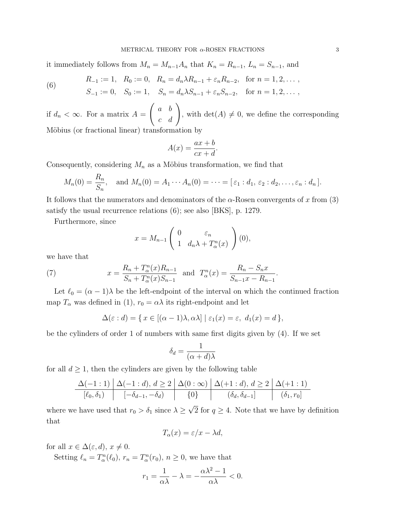it immediately follows from  $M_n = M_{n-1}A_n$  that  $K_n = R_{n-1}$ ,  $L_n = S_{n-1}$ , and

(6) 
$$
R_{-1} := 1, \quad R_0 := 0, \quad R_n = d_n \lambda R_{n-1} + \varepsilon_n R_{n-2}, \quad \text{for } n = 1, 2, \dots,
$$

$$
S_{-1} := 0, \quad S_0 := 1, \quad S_n = d_n \lambda S_{n-1} + \varepsilon_n S_{n-2}, \quad \text{for } n = 1, 2, \dots,
$$

if  $d_n < \infty$ . For a matrix  $A =$  $\left(\begin{array}{cc} a & b \\ c & d \end{array}\right)$ , with  $\det(A) \neq 0$ , we define the corresponding Möbius (or fractional linear) transformation by

$$
A(x) = \frac{ax+b}{cx+d}.
$$

Consequently, considering  $M_n$  as a Möbius transformation, we find that

$$
M_n(0) = \frac{R_n}{S_n}
$$
, and  $M_n(0) = A_1 \cdots A_n(0) = \cdots = [\varepsilon_1 : d_1, \varepsilon_2 : d_2, \ldots, \varepsilon_n : d_n].$ 

It follows that the numerators and denominators of the  $\alpha$ -Rosen convergents of x from (3) satisfy the usual recurrence relations (6); see also [BKS], p. 1279.

Furthermore, since

$$
x = M_{n-1} \begin{pmatrix} 0 & \varepsilon_n \\ 1 & d_n \lambda + T_\alpha^n(x) \end{pmatrix} (0),
$$

we have that

(7) 
$$
x = \frac{R_n + T_\alpha^n(x)R_{n-1}}{S_n + T_\alpha^n(x)S_{n-1}} \text{ and } T_\alpha^n(x) = \frac{R_n - S_n x}{S_{n-1}x - R_{n-1}}.
$$

Let  $\ell_0 = (\alpha - 1)\lambda$  be the left-endpoint of the interval on which the continued fraction map  $T_{\alpha}$  was defined in (1),  $r_0 = \alpha \lambda$  its right-endpoint and let

$$
\Delta(\varepsilon: d) = \{ x \in [(\alpha - 1)\lambda, \alpha\lambda] \mid \varepsilon_1(x) = \varepsilon, \ d_1(x) = d \},
$$

be the cylinders of order 1 of numbers with same first digits given by (4). If we set

$$
\delta_d = \frac{1}{(\alpha + d)\lambda}
$$

for all  $d \geq 1$ , then the cylinders are given by the following table

$$
\Delta(-1:1) \quad \Delta(-1:d), d \ge 2 \quad \Delta(0:\infty) \quad \Delta(+1:d), d \ge 2 \quad \Delta(+1:1)
$$
\n
$$
\boxed{[\ell_0,\delta_1)} \qquad \boxed{-\delta_{d-1},-\delta_d} \qquad \boxed{0} \qquad \boxed{(\delta_d,\delta_{d-1})} \qquad \boxed{(\delta_1,r_0)}
$$

where we have used that  $r_0 > \delta_1$  since  $\lambda \geq$ 2 for  $q \geq 4$ . Note that we have by definition that

$$
T_{\alpha}(x) = \varepsilon/x - \lambda d,
$$

for all  $x \in \Delta(\varepsilon, d)$ ,  $x \neq 0$ .

Setting  $\ell_n = T_\alpha^n(\ell_0)$ ,  $r_n = T_\alpha^n(r_0)$ ,  $n \geq 0$ , we have that

$$
r_1 = \frac{1}{\alpha \lambda} - \lambda = -\frac{\alpha \lambda^2 - 1}{\alpha \lambda} < 0.
$$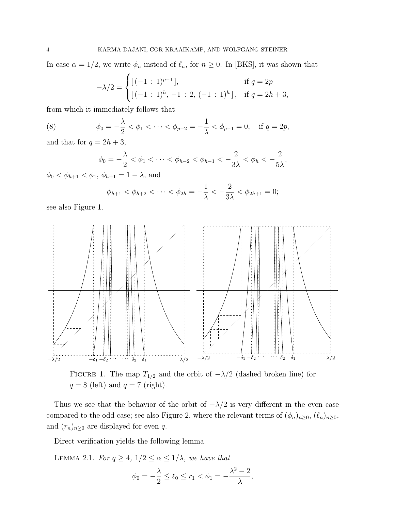In case  $\alpha = 1/2$ , we write  $\phi_n$  instead of  $\ell_n$ , for  $n \geq 0$ . In [BKS], it was shown that

$$
-\lambda/2 = \begin{cases} [(-1:1)^{p-1}], & \text{if } q = 2p \\ [(-1:1)^h, -1:2, (-1:1)^h], & \text{if } q = 2h+3, \end{cases}
$$

from which it immediately follows that

(8) 
$$
\phi_0 = -\frac{\lambda}{2} < \phi_1 < \cdots < \phi_{p-2} = -\frac{1}{\lambda} < \phi_{p-1} = 0, \text{ if } q = 2p,
$$

and that for  $q = 2h + 3$ ,

$$
\phi_0 = -\frac{\lambda}{2} < \phi_1 < \dots < \phi_{h-2} < \phi_{h-1} < -\frac{2}{3\lambda} < \phi_h < -\frac{2}{5\lambda},
$$

 $\phi_0 < \phi_{h+1} < \phi_1, \, \phi_{h+1} = 1 - \lambda$ , and

$$
\phi_{h+1} < \phi_{h+2} < \cdots < \phi_{2h} = -\frac{1}{\lambda} < -\frac{2}{3\lambda} < \phi_{2h+1} = 0;
$$

see also Figure 1.



FIGURE 1. The map  $T_{1/2}$  and the orbit of  $-\lambda/2$  (dashed broken line) for  $q = 8$  (left) and  $q = 7$  (right).

Thus we see that the behavior of the orbit of  $-\lambda/2$  is very different in the even case compared to the odd case; see also Figure 2, where the relevant terms of  $(\phi_n)_{n\geq 0}$ ,  $(\ell_n)_{n\geq 0}$ , and  $(r_n)_{n\geq 0}$  are displayed for even q.

Direct verification yields the following lemma.

LEMMA 2.1. For  $q \ge 4$ ,  $1/2 \le \alpha \le 1/\lambda$ , we have that

$$
\phi_0 = -\frac{\lambda}{2} \le \ell_0 \le r_1 < \phi_1 = -\frac{\lambda^2 - 2}{\lambda},
$$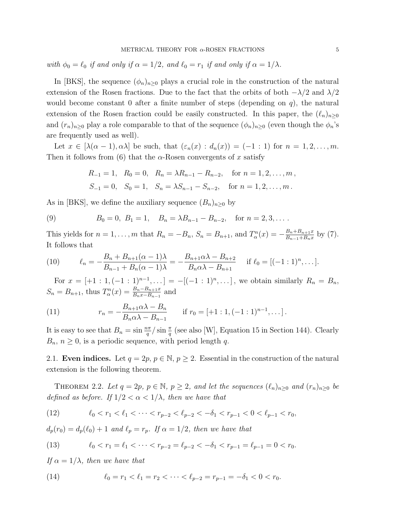with  $\phi_0 = \ell_0$  if and only if  $\alpha = 1/2$ , and  $\ell_0 = r_1$  if and only if  $\alpha = 1/\lambda$ .

In [BKS], the sequence  $(\phi_n)_{n>0}$  plays a crucial role in the construction of the natural extension of the Rosen fractions. Due to the fact that the orbits of both  $-\lambda/2$  and  $\lambda/2$ would become constant 0 after a finite number of steps (depending on  $q$ ), the natural extension of the Rosen fraction could be easily constructed. In this paper, the  $(\ell_n)_{n>0}$ and  $(r_n)_{n\geq 0}$  play a role comparable to that of the sequence  $(\phi_n)_{n\geq 0}$  (even though the  $\phi_n$ 's are frequently used as well).

Let  $x \in [\lambda(\alpha-1), \alpha\lambda]$  be such, that  $(\varepsilon_n(x) : d_n(x)) = (-1 : 1)$  for  $n = 1, 2, \ldots, m$ . Then it follows from (6) that the  $\alpha$ -Rosen convergents of x satisfy

$$
R_{-1} = 1
$$
,  $R_0 = 0$ ,  $R_n = \lambda R_{n-1} - R_{n-2}$ , for  $n = 1, 2, ..., m$ ,  
\n $S_{-1} = 0$ ,  $S_0 = 1$ ,  $S_n = \lambda S_{n-1} - S_{n-2}$ , for  $n = 1, 2, ..., m$ .

As in [BKS], we define the auxiliary sequence  $(B_n)_{n\geq 0}$  by

(9) 
$$
B_0 = 0, B_1 = 1, B_n = \lambda B_{n-1} - B_{n-2}, \text{ for } n = 2, 3, ...
$$

This yields for  $n = 1, \ldots, m$  that  $R_n = -B_n$ ,  $S_n = B_{n+1}$ , and  $T_\alpha^n(x) = -\frac{B_n + B_{n+1}x}{B_{n-1} + B_n x}$  $\frac{B_n + B_{n+1}x}{B_{n-1} + B_nx}$  by (7). It follows that

(10) 
$$
\ell_n = -\frac{B_n + B_{n+1}(\alpha - 1)\lambda}{B_{n-1} + B_n(\alpha - 1)\lambda} = -\frac{B_{n+1}\alpha\lambda - B_{n+2}}{B_n\alpha\lambda - B_{n+1}} \quad \text{if } \ell_0 = [(-1:1)^n, \dots].
$$

For  $x = [+1 : 1, (-1 : 1)^{n-1}, \dots] = -[(-1 : 1)^n, \dots]$ , we obtain similarly  $R_n = B_n$ ,  $S_n = B_{n+1}$ , thus  $T_\alpha^n(x) = \frac{B_n - B_{n+1}x}{B_n x - B_{n-1}}$  and

(11) 
$$
r_n = -\frac{B_{n+1}\alpha\lambda - B_n}{B_n\alpha\lambda - B_{n-1}} \quad \text{if } r_0 = [+1:1, (-1:1)^{n-1}, \dots].
$$

It is easy to see that  $B_n = \sin \frac{n\pi}{q} / \sin \frac{\pi}{q}$  (see also [W], Equation 15 in Section 144). Clearly  $B_n$ ,  $n \geq 0$ , is a periodic sequence, with period length q.

2.1. Even indices. Let  $q = 2p$ ,  $p \in \mathbb{N}$ ,  $p \ge 2$ . Essential in the construction of the natural extension is the following theorem.

THEOREM 2.2. Let  $q = 2p$ ,  $p \in \mathbb{N}$ ,  $p \geq 2$ , and let the sequences  $(\ell_n)_{n \geq 0}$  and  $(r_n)_{n \geq 0}$  be defined as before. If  $1/2 < \alpha < 1/\lambda$ , then we have that

(12) 
$$
\ell_0 < r_1 < \ell_1 < \cdots < r_{p-2} < \ell_{p-2} < -\delta_1 < r_{p-1} < 0 < \ell_{p-1} < r_0,
$$

 $d_p(r_0) = d_p(\ell_0) + 1$  and  $\ell_p = r_p$ . If  $\alpha = 1/2$ , then we have that

(13) 
$$
\ell_0 < r_1 = \ell_1 < \cdots < r_{p-2} = \ell_{p-2} < -\delta_1 < r_{p-1} = \ell_{p-1} = 0 < r_0.
$$

If  $\alpha = 1/\lambda$ , then we have that

(14) 
$$
\ell_0 = r_1 < \ell_1 = r_2 < \cdots < \ell_{p-2} = r_{p-1} = -\delta_1 < 0 < r_0.
$$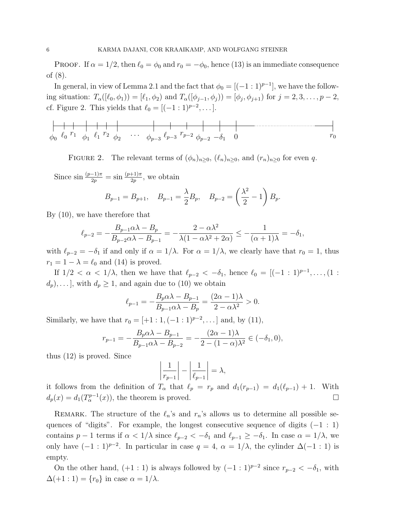**PROOF.** If  $\alpha = 1/2$ , then  $\ell_0 = \phi_0$  and  $r_0 = -\phi_0$ , hence (13) is an immediate consequence of (8).

In general, in view of Lemma 2.1 and the fact that  $\phi_0 = [(-1:1)^{p-1}]$ , we have the following situation:  $T_{\alpha}([\ell_0, \phi_1)] = [\ell_1, \phi_2)$  and  $T_{\alpha}([\phi_{j-1}, \phi_j]) = [\phi_j, \phi_{j+1}]$  for  $j = 2, 3, \ldots, p-2$ , cf. Figure 2. This yields that  $\ell_0 = [(-1 : 1)^{p-2}, \dots]$ .

$$
\uparrow \qquad \qquad \downarrow \qquad \qquad \downarrow \qquad \qquad \downarrow \qquad \qquad \downarrow \qquad \qquad \downarrow \qquad \qquad \downarrow \qquad \qquad \downarrow \qquad \qquad \downarrow \qquad \qquad \downarrow \qquad \qquad \downarrow \qquad \qquad \downarrow
$$
\n
$$
\phi_0 \quad \ell_0 \quad r_1 \quad \phi_1 \quad \ell_1 \quad r_2 \quad \phi_2 \quad \cdots \quad \phi_{p-3} \quad \ell_{p-3} \quad r_{p-2} \quad \phi_{p-2} \quad \neg \delta_1 \quad 0 \qquad \qquad r_0
$$

FIGURE 2. The relevant terms of  $(\phi_n)_{n>0}$ ,  $(\ell_n)_{n>0}$ , and  $(r_n)_{n>0}$  for even q.

Since  $\sin \frac{(p-1)\pi}{2p} = \sin \frac{(p+1)\pi}{2p}$ , we obtain

$$
B_{p-1} = B_{p+1},
$$
  $B_{p-1} = \frac{\lambda}{2} B_p,$   $B_{p-2} = \left(\frac{\lambda^2}{2} - 1\right) B_p.$ 

By (10), we have therefore that

$$
\ell_{p-2} = -\frac{B_{p-1}\alpha\lambda - B_p}{B_{p-2}\alpha\lambda - B_{p-1}} = -\frac{2 - \alpha\lambda^2}{\lambda(1 - \alpha\lambda^2 + 2\alpha)} \le -\frac{1}{(\alpha+1)\lambda} = -\delta_1,
$$

with  $\ell_{p-2} = -\delta_1$  if and only if  $\alpha = 1/\lambda$ . For  $\alpha = 1/\lambda$ , we clearly have that  $r_0 = 1$ , thus  $r_1 = 1 - \lambda = \ell_0$  and (14) is proved.

If  $1/2 < \alpha < 1/\lambda$ , then we have that  $\ell_{p-2} < -\delta_1$ , hence  $\ell_0 = [(-1:1)^{p-1}, \ldots, (1:1)^{p-1}]$  $(d_p), \ldots$ , with  $d_p \geq 1$ , and again due to (10) we obtain

$$
\ell_{p-1} = -\frac{B_p \alpha \lambda - B_{p-1}}{B_{p-1} \alpha \lambda - B_p} = \frac{(2\alpha - 1)\lambda}{2 - \alpha \lambda^2} > 0.
$$

Similarly, we have that  $r_0 = [+1 : 1, (-1 : 1)^{p-2}, \dots]$  and, by (11),

$$
r_{p-1} = -\frac{B_p \alpha \lambda - B_{p-1}}{B_{p-1} \alpha \lambda - B_{p-2}} = -\frac{(2\alpha - 1)\lambda}{2 - (1 - \alpha)\lambda^2} \in (-\delta_1, 0),
$$

thus (12) is proved. Since

$$
\left|\frac{1}{r_{p-1}}\right| - \left|\frac{1}{\ell_{p-1}}\right| = \lambda,
$$

it follows from the definition of  $T_{\alpha}$  that  $\ell_p = r_p$  and  $d_1(r_{p-1}) = d_1(\ell_{p-1}) + 1$ . With  $d_p(x) = d_1(T_\alpha^{p-1}(x))$ , the theorem is proved.

REMARK. The structure of the  $\ell_n$ 's and  $r_n$ 's allows us to determine all possible sequences of "digits". For example, the longest consecutive sequence of digits (−1 : 1) contains  $p - 1$  terms if  $\alpha < 1/\lambda$  since  $\ell_{p-2} < -\delta_1$  and  $\ell_{p-1} \geq -\delta_1$ . In case  $\alpha = 1/\lambda$ , we only have  $(-1:1)^{p-2}$ . In particular in case  $q = 4$ ,  $\alpha = 1/\lambda$ , the cylinder  $\Delta(-1:1)$  is empty.

On the other hand, (+1 : 1) is always followed by  $(-1:1)^{p-2}$  since  $r_{p-2} < -\delta_1$ , with  $\Delta(+1:1) = \{r_0\}$  in case  $\alpha = 1/\lambda$ .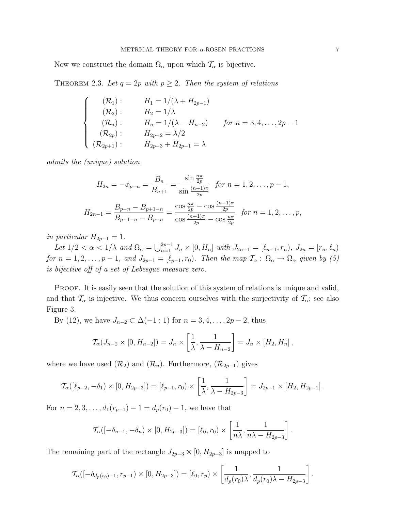Now we construct the domain  $\Omega_{\alpha}$  upon which  $\mathcal{T}_{\alpha}$  is bijective.

THEOREM 2.3. Let  $q = 2p$  with  $p \geq 2$ . Then the system of relations

$$
\begin{cases}\n(R_1): & H_1 = 1/(\lambda + H_{2p-1}) \\
(R_2): & H_2 = 1/\lambda \\
(R_n): & H_n = 1/(\lambda - H_{n-2}) \quad \text{for } n = 3, 4, ..., 2p-1 \\
(R_{2p}): & H_{2p-2} = \lambda/2 \\
(R_{2p+1}): & H_{2p-3} + H_{2p-1} = \lambda\n\end{cases}
$$

admits the (unique) solution

$$
H_{2n} = -\phi_{p-n} = \frac{B_n}{B_{n+1}} = \frac{\sin \frac{n\pi}{2p}}{\sin \frac{(n+1)\pi}{2p}} \quad \text{for } n = 1, 2, \dots, p-1,
$$
\n
$$
H_{2n-1} = \frac{B_{p-n} - B_{p+1-n}}{B_{p-1-n} - B_{p-n}} = \frac{\cos \frac{n\pi}{2p} - \cos \frac{(n-1)\pi}{2p}}{\cos \frac{(n+1)\pi}{2p} - \cos \frac{n\pi}{2p}} \quad \text{for } n = 1, 2, \dots, p,
$$

in particular  $H_{2p-1} = 1$ .

Let  $1/2 < \alpha < 1/\lambda$  and  $\Omega_{\alpha} = \bigcup_{n=1}^{2p-1} J_n \times [0, H_n]$  with  $J_{2n-1} = [\ell_{n-1}, r_n), J_{2n} = [r_n, \ell_n)$ for  $n = 1, 2, \ldots, p - 1$ , and  $J_{2p-1} = [\ell_{p-1}, r_0)$ . Then the map  $\mathcal{T}_{\alpha} : \Omega_{\alpha} \to \Omega_{\alpha}$  given by (5) is bijective off of a set of Lebesgue measure zero.

PROOF. It is easily seen that the solution of this system of relations is unique and valid, and that  $\mathcal{T}_{\alpha}$  is injective. We thus concern ourselves with the surjectivity of  $\mathcal{T}_{\alpha}$ ; see also Figure 3.

By (12), we have  $J_{n-2} \subset \Delta(-1:1)$  for  $n = 3, 4, ..., 2p-2$ , thus

$$
\mathcal{T}_{\alpha}(J_{n-2} \times [0, H_{n-2}]) = J_n \times \left[\frac{1}{\lambda}, \frac{1}{\lambda - H_{n-2}}\right] = J_n \times [H_2, H_n],
$$

where we have used  $(\mathcal{R}_2)$  and  $(\mathcal{R}_n)$ . Furthermore,  $(\mathcal{R}_{2p-1})$  gives

$$
\mathcal{T}_{\alpha}([\ell_{p-2}, -\delta_1) \times [0, H_{2p-3}]) = [\ell_{p-1}, r_0) \times \left[\frac{1}{\lambda}, \frac{1}{\lambda - H_{2p-3}}\right] = J_{2p-1} \times [H_2, H_{2p-1}].
$$

For  $n = 2, 3, \ldots, d_1(r_{n-1}) - 1 = d_n(r_0) - 1$ , we have that

$$
\mathcal{T}_{\alpha}([-\delta_{n-1},-\delta_n)\times[0,H_{2p-3}])=[\ell_0,r_0)\times\left[\frac{1}{n\lambda},\frac{1}{n\lambda-H_{2p-3}}\right].
$$

The remaining part of the rectangle  $J_{2p-3} \times [0, H_{2p-3}]$  is mapped to

$$
\mathcal{T}_{\alpha}([-\delta_{d_p(r_0)-1},r_{p-1})\times[0,H_{2p-3}])=[\ell_0,r_p)\times\left[\frac{1}{d_p(r_0)\lambda},\frac{1}{d_p(r_0)\lambda-H_{2p-3}}\right].
$$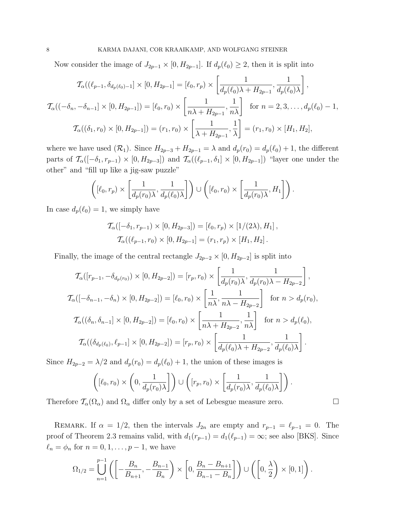Now consider the image of  $J_{2p-1} \times [0, H_{2p-1}]$ . If  $d_p(\ell_0) \geq 2$ , then it is split into

$$
\mathcal{T}_{\alpha}((\ell_{p-1}, \delta_{d_p(\ell_0)-1}] \times [0, H_{2p-1}] = [\ell_0, r_p) \times \left[\frac{1}{d_p(\ell_0)\lambda + H_{2p-1}}, \frac{1}{d_p(\ell_0)\lambda}\right],
$$
  

$$
\mathcal{T}_{\alpha}((-\delta_n, -\delta_{n-1}] \times [0, H_{2p-1}]) = [\ell_0, r_0) \times \left[\frac{1}{n\lambda + H_{2p-1}}, \frac{1}{n\lambda}\right] \text{ for } n = 2, 3, ..., d_p(\ell_0) - 1,
$$
  

$$
\mathcal{T}_{\alpha}((\delta_1, r_0) \times [0, H_{2p-1}]) = (r_1, r_0) \times \left[\frac{1}{\lambda + H_{2p-1}}, \frac{1}{\lambda}\right] = (r_1, r_0) \times [H_1, H_2],
$$

where we have used  $(\mathcal{R}_1)$ . Since  $H_{2p-3} + H_{2p-1} = \lambda$  and  $d_p(r_0) = d_p(\ell_0) + 1$ , the different parts of  $\mathcal{T}_{\alpha}(-\delta_1, r_{p-1}) \times [0, H_{2p-3}]$  and  $\mathcal{T}_{\alpha}((\ell_{p-1}, \delta_1] \times [0, H_{2p-1}])$  "layer one under the other" and "fill up like a jig-saw puzzle"

$$
\left( [\ell_0, r_p) \times \left[ \frac{1}{d_p(r_0)\lambda}, \frac{1}{d_p(\ell_0)\lambda} \right] \right) \cup \left( [\ell_0, r_0) \times \left[ \frac{1}{d_p(r_0)\lambda}, H_1 \right] \right).
$$

In case  $d_p(\ell_0) = 1$ , we simply have

$$
\mathcal{T}_{\alpha}([-\delta_1, r_{p-1}) \times [0, H_{2p-3}]) = [\ell_0, r_p) \times [1/(2\lambda), H_1],
$$
  

$$
\mathcal{T}_{\alpha}((\ell_{p-1}, r_0) \times [0, H_{2p-1}] = (r_1, r_p) \times [H_1, H_2].
$$

Finally, the image of the central rectangle  $J_{2p-2} \times [0, H_{2p-2}]$  is split into

$$
\mathcal{T}_{\alpha}([r_{p-1}, -\delta_{d_p(r_0)}) \times [0, H_{2p-2}]) = [r_p, r_0) \times \left[\frac{1}{d_p(r_0)\lambda}, \frac{1}{d_p(r_0)\lambda - H_{2p-2}}\right],
$$
  

$$
\mathcal{T}_{\alpha}([-\delta_{n-1}, -\delta_n) \times [0, H_{2p-2}]) = [\ell_0, r_0) \times \left[\frac{1}{n\lambda}, \frac{1}{n\lambda - H_{2p-2}}\right] \text{ for } n > d_p(r_0),
$$
  

$$
\mathcal{T}_{\alpha}((\delta_n, \delta_{n-1}] \times [0, H_{2p-2}]) = [\ell_0, r_0) \times \left[\frac{1}{n\lambda + H_{2p-2}}, \frac{1}{n\lambda}\right] \text{ for } n > d_p(\ell_0),
$$
  

$$
\mathcal{T}_{\alpha}((\delta_{d_p(\ell_0)}, \ell_{p-1}] \times [0, H_{2p-2}]) = [r_p, r_0) \times \left[\frac{1}{d_p(\ell_0)\lambda + H_{2p-2}}, \frac{1}{d_p(\ell_0)\lambda}\right].
$$

Since  $H_{2p-2} = \lambda/2$  and  $d_p(r_0) = d_p(\ell_0) + 1$ , the union of these images is

$$
\left( [\ell_0, r_0) \times \left(0, \frac{1}{d_p(r_0)\lambda} \right] \right) \cup \left( [r_p, r_0) \times \left[ \frac{1}{d_p(r_0)\lambda}, \frac{1}{d_p(\ell_0)\lambda} \right] \right).
$$

Therefore  $\mathcal{T}_{\alpha}(\Omega_{\alpha})$  and  $\Omega_{\alpha}$  differ only by a set of Lebesgue measure zero.

REMARK. If  $\alpha = 1/2$ , then the intervals  $J_{2n}$  are empty and  $r_{p-1} = \ell_{p-1} = 0$ . The proof of Theorem 2.3 remains valid, with  $d_1(r_{p-1}) = d_1(\ell_{p-1}) = \infty$ ; see also [BKS]. Since  $\ell_n = \phi_n$  for  $n = 0, 1, \ldots, p - 1$ , we have

$$
\Omega_{1/2} = \bigcup_{n=1}^{p-1} \left( \left[ -\frac{B_n}{B_{n+1}}, -\frac{B_{n-1}}{B_n} \right] \times \left[ 0, \frac{B_n - B_{n+1}}{B_{n-1} - B_n} \right] \right) \cup \left( \left[ 0, \frac{\lambda}{2} \right) \times [0, 1] \right).
$$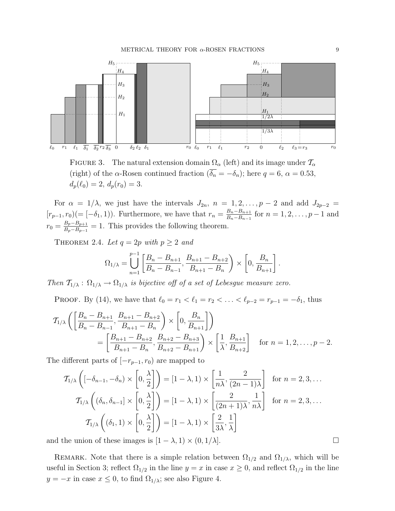

FIGURE 3. The natural extension domain  $\Omega_{\alpha}$  (left) and its image under  $\mathcal{T}_{\alpha}$ (right) of the  $\alpha$ -Rosen continued fraction  $(\overline{\delta_n} = -\delta_n)$ ; here  $q = 6$ ,  $\alpha = 0.53$ ,  $d_p(\ell_0) = 2, d_p(r_0) = 3.$ 

For  $\alpha = 1/\lambda$ , we just have the intervals  $J_{2n}$ ,  $n = 1, 2, \ldots, p-2$  and add  $J_{2p-2}$  $[r_{p-1}, r_0) (=[-\delta_1, 1)]$ . Furthermore, we have that  $r_n = \frac{B_n - B_{n+1}}{B_n - B_{n-1}}$  $\frac{B_n - B_{n+1}}{B_n - B_{n-1}}$  for  $n = 1, 2, \ldots, p-1$  and  $r_0 = \frac{B_p - B_{p+1}}{B_p - B_{p-1}}$  $\frac{B_p - B_{p+1}}{B_p - B_{p-1}} = 1$ . This provides the following theorem.

THEOREM 2.4. Let  $q = 2p$  with  $p \ge 2$  and

$$
\Omega_{1/\lambda} = \bigcup_{n=1}^{p-1} \left[ \frac{B_n - B_{n+1}}{B_n - B_{n-1}}, \frac{B_{n+1} - B_{n+2}}{B_{n+1} - B_n} \right] \times \left[ 0, \frac{B_n}{B_{n+1}} \right].
$$

Then  $T_{1/\lambda}$ :  $\Omega_{1/\lambda} \rightarrow \Omega_{1/\lambda}$  is bijective off of a set of Lebesgue measure zero.

PROOF. By (14), we have that  $\ell_0 = r_1 < \ell_1 = r_2 < \ldots < \ell_{p-2} = r_{p-1} = -\delta_1$ , thus

$$
\mathcal{T}_{1/\lambda}\left(\left[\frac{B_n - B_{n+1}}{B_n - B_{n-1}}, \frac{B_{n+1} - B_{n+2}}{B_{n+1} - B_n}\right) \times \left[0, \frac{B_n}{B_{n+1}}\right]\right)
$$
\n
$$
= \left[\frac{B_{n+1} - B_{n+2}}{B_{n+1} - B_n}, \frac{B_{n+2} - B_{n+3}}{B_{n+2} - B_{n+1}}\right) \times \left[\frac{1}{\lambda}, \frac{B_{n+1}}{B_{n+2}}\right] \quad \text{for } n = 1, 2, \dots, p-2.
$$

The different parts of  $[-r_{p-1}, r_0]$  are mapped to

$$
\mathcal{T}_{1/\lambda}\left(\left[-\delta_{n-1}, -\delta_n\right) \times \left[0, \frac{\lambda}{2}\right]\right) = \left[1 - \lambda, 1\right) \times \left[\frac{1}{n\lambda}, \frac{2}{(2n-1)\lambda}\right] \text{ for } n = 2, 3, \dots
$$

$$
\mathcal{T}_{1/\lambda}\left(\left(\delta_n, \delta_{n-1}\right) \times \left[0, \frac{\lambda}{2}\right]\right) = \left[1 - \lambda, 1\right) \times \left[\frac{2}{(2n+1)\lambda}, \frac{1}{n\lambda}\right] \text{ for } n = 2, 3, \dots
$$

$$
\mathcal{T}_{1/\lambda}\left(\left(\delta_1, 1\right) \times \left[0, \frac{\lambda}{2}\right]\right) = \left[1 - \lambda, 1\right) \times \left[\frac{2}{3\lambda}, \frac{1}{\lambda}\right]
$$

and the union of these images is  $[1 - \lambda, 1) \times (0, 1/\lambda]$ .

REMARK. Note that there is a simple relation between  $\Omega_{1/2}$  and  $\Omega_{1/\lambda}$ , which will be useful in Section 3; reflect  $\Omega_{1/2}$  in the line  $y = x$  in case  $x \ge 0$ , and reflect  $\Omega_{1/2}$  in the line  $y = -x$  in case  $x \leq 0$ , to find  $\Omega_{1/\lambda}$ ; see also Figure 4.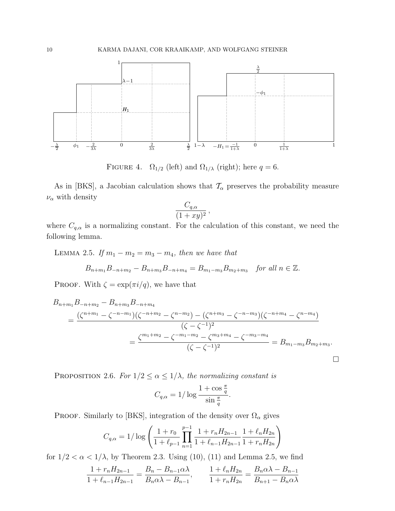

FIGURE 4.  $\Omega_{1/2}$  (left) and  $\Omega_{1/\lambda}$  (right); here  $q = 6$ .

As in [BKS], a Jacobian calculation shows that  $\mathcal{T}_{\alpha}$  preserves the probability measure  $\nu_{\alpha}$  with density

$$
\frac{C_{q,\alpha}}{(1+xy)^2},
$$

where  $C_{q,\alpha}$  is a normalizing constant. For the calculation of this constant, we need the following lemma.

LEMMA 2.5. If  $m_1 - m_2 = m_3 - m_4$ , then we have that

$$
B_{n+m_1}B_{-n+m_2} - B_{n+m_3}B_{-n+m_4} = B_{m_1-m_3}B_{m_2+m_3} \quad \text{for all } n \in \mathbb{Z}.
$$

PROOF. With  $\zeta = \exp(\pi i/q)$ , we have that

$$
B_{n+m_1}B_{-n+m_2} - B_{n+m_3}B_{-n+m_4}
$$
  
= 
$$
\frac{(\zeta^{n+m_1} - \zeta^{-n-m_1})(\zeta^{-n+m_2} - \zeta^{n-m_2}) - (\zeta^{n+m_3} - \zeta^{-n-m_3})(\zeta^{-n+m_4} - \zeta^{n-m_4})}{(\zeta - \zeta^{-1})^2}
$$
  
= 
$$
\frac{\zeta^{m_1+m_2} - \zeta^{-m_1-m_2} - \zeta^{m_3+m_4} - \zeta^{-m_3-m_4}}{(\zeta - \zeta^{-1})^2} = B_{m_1-m_3}B_{m_2+m_3}.
$$

 $\Box$ 

PROPOSITION 2.6. For  $1/2 \le \alpha \le 1/\lambda$ , the normalizing constant is

$$
C_{q,\alpha} = 1/\log \frac{1 + \cos \frac{\pi}{q}}{\sin \frac{\pi}{q}}.
$$

PROOF. Similarly to [BKS], integration of the density over  $\Omega_{\alpha}$  gives

$$
C_{q,\alpha} = 1/\log\left(\frac{1+r_0}{1+\ell_{p-1}}\prod_{n=1}^{p-1}\frac{1+r_nH_{2n-1}}{1+\ell_{n-1}H_{2n-1}}\frac{1+\ell_nH_{2n}}{1+r_nH_{2n}}\right)
$$

for  $1/2 < \alpha < 1/\lambda$ , by Theorem 2.3. Using (10), (11) and Lemma 2.5, we find

$$
\frac{1 + r_n H_{2n-1}}{1 + \ell_{n-1} H_{2n-1}} = \frac{B_n - B_{n-1} \alpha \lambda}{B_n \alpha \lambda - B_{n-1}}, \qquad \frac{1 + \ell_n H_{2n}}{1 + r_n H_{2n}} = \frac{B_n \alpha \lambda - B_{n-1}}{B_{n+1} - B_n \alpha \lambda}
$$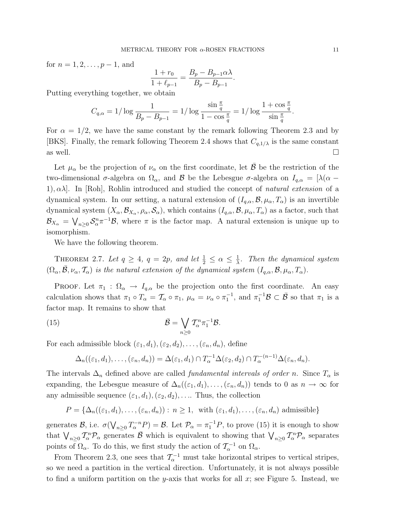for  $n = 1, 2, \ldots, p - 1$ , and

$$
\frac{1+r_0}{1+\ell_{p-1}} = \frac{B_p - B_{p-1}\alpha\lambda}{B_p - B_{p-1}}.
$$

Putting everything together, we obtain

$$
C_{q,\alpha} = 1/\log \frac{1}{B_p - B_{p-1}} = 1/\log \frac{\sin \frac{\pi}{q}}{1 - \cos \frac{\pi}{q}} = 1/\log \frac{1 + \cos \frac{\pi}{q}}{\sin \frac{\pi}{q}}.
$$

For  $\alpha = 1/2$ , we have the same constant by the remark following Theorem 2.3 and by [BKS]. Finally, the remark following Theorem 2.4 shows that  $C_{q,1/\lambda}$  is the same constant as well.

Let  $\mu_{\alpha}$  be the projection of  $\nu_{\alpha}$  on the first coordinate, let **B** be the restriction of the two-dimensional σ-algebra on  $\Omega_{\alpha}$ , and B be the Lebesgue σ-algebra on  $I_{q,\alpha} = [\lambda(\alpha -$ 1),  $\alpha\lambda$ . In [Roh], Rohlin introduced and studied the concept of *natural extension* of a dynamical system. In our setting, a natural extension of  $(I_{q,\alpha}, \mathcal{B}, \mu_\alpha, T_\alpha)$  is an invertible dynamical system  $(X_\alpha, \mathcal{B}_{X_\alpha}, \rho_\alpha, \mathcal{S}_\alpha)$ , which contains  $(I_{q,\alpha}, \mathcal{B}, \mu_\alpha, T_\alpha)$  as a factor, such that  $\mathcal{B}_{X_{\alpha}} = \bigvee_{n \geq 0} \mathcal{S}_{\alpha}^n \pi^{-1} \mathcal{B}$ , where  $\pi$  is the factor map. A natural extension is unique up to isomorphism.

We have the following theorem.

THEOREM 2.7. Let  $q \ge 4$ ,  $q = 2p$ , and let  $\frac{1}{2} \le \alpha \le \frac{1}{\lambda}$  $\frac{1}{\lambda}$ . Then the dynamical system  $(\Omega_{\alpha}, \bar{\mathcal{B}}, \nu_{\alpha}, \mathcal{T}_{\alpha})$  is the natural extension of the dynamical system  $(I_{q,\alpha}, \mathcal{B}, \mu_{\alpha}, T_{\alpha})$ .

PROOF. Let  $\pi_1$ :  $\Omega_{\alpha} \to I_{q,\alpha}$  be the projection onto the first coordinate. An easy calculation shows that  $\pi_1 \circ T_\alpha = T_\alpha \circ \pi_1$ ,  $\mu_\alpha = \nu_\alpha \circ \pi_1^{-1}$ , and  $\pi_1^{-1} \mathcal{B} \subset \overline{\mathcal{B}}$  so that  $\pi_1$  is a factor map. It remains to show that

(15) 
$$
\bar{\mathcal{B}} = \bigvee_{n \geq 0} T_{\alpha}^{n} \pi_1^{-1} \mathcal{B}.
$$

For each admissible block  $(\varepsilon_1, d_1), (\varepsilon_2, d_2), \ldots, (\varepsilon_n, d_n)$ , define

$$
\Delta_n((\varepsilon_1,d_1),\ldots,(\varepsilon_n,d_n))=\Delta(\varepsilon_1,d_1)\cap T_\alpha^{-1}\Delta(\varepsilon_2,d_2)\cap T_\alpha^{-(n-1)}\Delta(\varepsilon_n,d_n).
$$

The intervals  $\Delta_n$  defined above are called *fundamental intervals of order n*. Since  $T_\alpha$  is expanding, the Lebesgue measure of  $\Delta_n((\epsilon_1, d_1), \ldots, (\epsilon_n, d_n))$  tends to 0 as  $n \to \infty$  for any admissible sequence  $(\varepsilon_1, d_1), (\varepsilon_2, d_2), \ldots$  Thus, the collection

$$
P = \{ \Delta_n((\varepsilon_1, d_1), \ldots, (\varepsilon_n, d_n)) : n \ge 1, \text{ with } (\varepsilon_1, d_1), \ldots, (\varepsilon_n, d_n) \text{ admissible} \}
$$

generates  $\mathcal{B}$ , i.e.  $\sigma(\bigvee_{n\geq 0}T_{\alpha}^{-n}P)=\mathcal{B}$ . Let  $\mathcal{P}_{\alpha}=\pi_1^{-1}P$ , to prove (15) it is enough to show that  $\bigvee_{n\geq 0} T_\alpha^n \mathcal{P}_\alpha$  generates  $\bar{\mathcal{B}}$  which is equivalent to showing that  $\bigvee_{n\geq 0} T_\alpha^n \mathcal{P}_\alpha$  separates points of  $\Omega_{\alpha}$ . To do this, we first study the action of  $\mathcal{T}_{\alpha}^{-1}$  on  $\Omega_{\alpha}$ .

From Theorem 2.3, one sees that  $\mathcal{T}_{\alpha}^{-1}$  must take horizontal stripes to vertical stripes, so we need a partition in the vertical direction. Unfortunately, it is not always possible to find a uniform partition on the y-axis that works for all  $x$ ; see Figure 5. Instead, we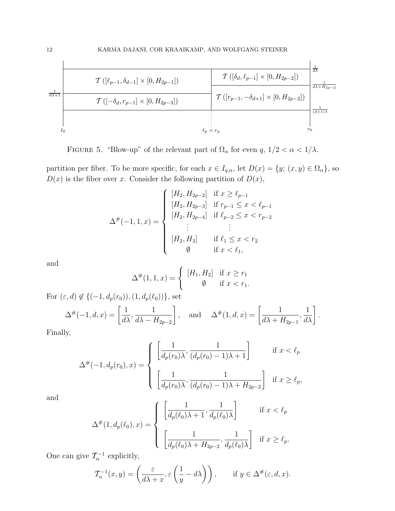

FIGURE 5. "Blow-up" of the relevant part of  $\Omega_{\alpha}$  for even q,  $1/2 < \alpha < 1/\lambda$ .

partition per fiber. To be more specific, for each  $x \in I_{q,\alpha}$ , let  $D(x) = \{y; (x,y) \in \Omega_\alpha\}$ , so  $D(x)$  is the fiber over x. Consider the following partition of  $D(x)$ ,

$$
\Delta^{\#}(-1,1,x) = \begin{cases}\n[H_2, H_{2p-2}] & \text{if } x \ge \ell_{p-1} \\
[H_2, H_{2p-3}] & \text{if } r_{p-1} \le x < \ell_{p-1} \\
[H_2, H_{2p-4}] & \text{if } \ell_{p-2} \le x < r_{p-2} \\
\vdots & \vdots \\
[H_2, H_3] & \text{if } \ell_1 \le x < r_2 \\
\varnothing & \text{if } x < \ell_1,\n\end{cases}
$$

and

$$
\Delta^{\#}(1,1,x) = \begin{cases} [H_1, H_2] & \text{if } x \ge r_1 \\ \emptyset & \text{if } x < r_1. \end{cases}
$$

For  $(\varepsilon, d) \notin \{(-1, d_p(r_0)), (1, d_p(\ell_0))\}$ , set

$$
\Delta^{\#}(-1, d, x) = \left[\frac{1}{d\lambda}, \frac{1}{d\lambda - H_{2p-2}}\right], \text{ and } \Delta^{\#}(1, d, x) = \left[\frac{1}{d\lambda + H_{2p-1}}, \frac{1}{d\lambda}\right].
$$

Finally,

$$
\Delta^{\#}(-1, d_p(r_0), x) = \begin{cases} \left[ \frac{1}{d_p(r_0)\lambda}, \frac{1}{(d_p(r_0) - 1)\lambda + 1} \right] & \text{if } x < \ell_p \\ \left[ \frac{1}{d_p(r_0)\lambda}, \frac{1}{(d_p(r_0) - 1)\lambda + H_{2p-2}} \right] & \text{if } x \ge \ell_p, \end{cases}
$$

and

$$
\Delta^{\#}(1, d_p(\ell_0), x) = \begin{cases} \left[ \frac{1}{d_p(\ell_0)\lambda + 1}, \frac{1}{d_p(\ell_0)\lambda} \right] & \text{if } x < \ell_p \\ \left[ \frac{1}{d_p(\ell_0)\lambda + H_{2p-2}}, \frac{1}{d_p(\ell_0)\lambda} \right] & \text{if } x \ge \ell_p. \end{cases}
$$

One can give  $\mathcal{T}_{\alpha}^{-1}$  explicitly,

$$
\mathcal{T}_{\alpha}^{-1}(x,y) = \left(\frac{\varepsilon}{d\lambda + x}, \varepsilon\left(\frac{1}{y} - d\lambda\right)\right), \quad \text{if } y \in \Delta^{\#}(\varepsilon, d, x).
$$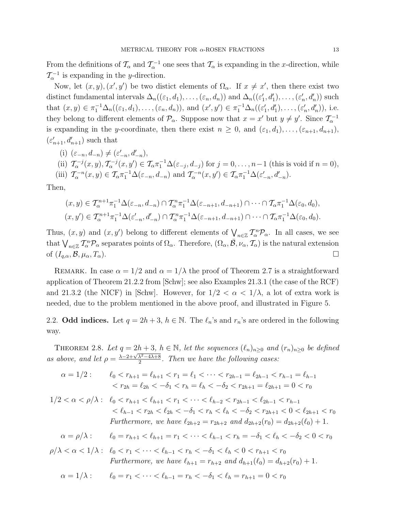From the definitions of  $\mathcal{T}_{\alpha}$  and  $\mathcal{T}_{\alpha}^{-1}$  one sees that  $\mathcal{T}_{\alpha}$  is expanding in the x-direction, while  $\mathcal{T}_{\alpha}^{-1}$  is expanding in the y-direction.

Now, let  $(x, y)$ ,  $(x', y')$  be two distict elements of  $\Omega_{\alpha}$ . If  $x \neq x'$ , then there exist two distinct fundamental intervals  $\Delta_n((\varepsilon_1, d_1), \ldots, (\varepsilon_n, d_n))$  and  $\Delta_n((\varepsilon'_1, d'_1), \ldots, (\varepsilon'_n, d'_n))$  such that  $(x, y) \in \pi_1^{-1} \Delta_n((\varepsilon_1, d_1), \ldots, (\varepsilon_n, d_n)),$  and  $(x', y') \in \pi_1^{-1} \Delta_n((\varepsilon'_1, d'_1), \ldots, (\varepsilon'_n, d'_n)),$  i.e. they belong to different elements of  $\mathcal{P}_{\alpha}$ . Suppose now that  $x = x'$  but  $y \neq y'$ . Since  $\mathcal{T}_{\alpha}^{-1}$ is expanding in the y-coordinate, then there exist  $n \geq 0$ , and  $(\varepsilon_1, d_1), \ldots, (\varepsilon_{n+1}, d_{n+1}),$  $(\varepsilon'_{n+1},d'_{n+1})$  such that

(i) 
$$
(\varepsilon_{-n}, d_{-n}) \neq (\varepsilon'_{-n}, d'_{-n}),
$$
  
\n(ii)  $\mathcal{T}_{\alpha}^{-j}(x, y), \mathcal{T}_{\alpha}^{-j}(x, y') \in \mathcal{T}_{\alpha} \pi_1^{-1} \Delta(\varepsilon_{-j}, d_{-j})$  for  $j = 0, \ldots, n-1$  (this is void if  $n = 0$ ),  
\n(iii)  $\mathcal{T}_{\alpha}^{-n}(x, y) \in \mathcal{T}_{\alpha} \pi_1^{-1} \Delta(\varepsilon_{-n}, d_{-n})$  and  $\mathcal{T}_{\alpha}^{-n}(x, y') \in \mathcal{T}_{\alpha} \pi_1^{-1} \Delta(\varepsilon'_{-n}, d'_{-n}).$ 

Then,

$$
(x,y) \in \mathcal{T}_{\alpha}^{n+1} \pi_1^{-1} \Delta(\varepsilon_{-n}, d_{-n}) \cap \mathcal{T}_{\alpha}^n \pi_1^{-1} \Delta(\varepsilon_{-n+1}, d_{-n+1}) \cap \cdots \cap \mathcal{T}_{\alpha} \pi_1^{-1} \Delta(\varepsilon_0, d_0),
$$
  

$$
(x,y') \in \mathcal{T}_{\alpha}^{n+1} \pi_1^{-1} \Delta(\varepsilon'_{-n}, d'_{-n}) \cap \mathcal{T}_{\alpha}^n \pi_1^{-1} \Delta(\varepsilon_{-n+1}, d_{-n+1}) \cap \cdots \cap \mathcal{T}_{\alpha} \pi_1^{-1} \Delta(\varepsilon_0, d_0).
$$

Thus,  $(x, y)$  and  $(x, y')$  belong to different elements of  $\bigvee_{n \in \mathbb{Z}} \mathcal{I}_{\alpha}^{n} \mathcal{P}_{\alpha}$ . In all cases, we see that  $\bigvee_{n\in\mathbb{Z}}\mathcal{I}_{\alpha}^{n}\mathcal{P}_{\alpha}$  separates points of  $\Omega_{\alpha}$ . Therefore,  $(\Omega_{\alpha},\overline{\mathcal{B}},\nu_{\alpha},\mathcal{T}_{\alpha})$  is the natural extension of  $(I_{q,\alpha}, \mathcal{B}, \mu_\alpha, T_\alpha)$ .

REMARK. In case  $\alpha = 1/2$  and  $\alpha = 1/\lambda$  the proof of Theorem 2.7 is a straightforward application of Theorem 21.2.2 from [Schw]; see also Examples 21.3.1 (the case of the RCF) and 21.3.2 (the NICF) in [Schw]. However, for  $1/2 < \alpha < 1/\lambda$ , a lot of extra work is needed, due to the problem mentioned in the above proof, and illustrated in Figure 5.

2.2. Odd indices. Let  $q = 2h + 3$ ,  $h \in \mathbb{N}$ . The  $\ell_n$ 's and  $r_n$ 's are ordered in the following way.

THEOREM 2.8. Let  $q = 2h + 3$ ,  $h \in \mathbb{N}$ , let the sequences  $(\ell_n)_{n\geq 0}$  and  $(r_n)_{n\geq 0}$  be defined as above, and let  $\rho = \frac{\lambda - 2 + \sqrt{\lambda^2 - 4\lambda + 8}}{2}$  $\frac{\lambda^2-4\lambda+8}{2}$ . Then we have the following cases:

$$
\begin{aligned}\n\alpha &= 1/2: & \ell_0 < r_{h+1} = \ell_{h+1} < r_1 = \ell_1 < \dots < r_{2h-1} = \ell_{2h-1} < r_{h-1} = \ell_{h-1} \\
&< r_{2h} = \ell_{2h} < -\delta_1 < r_h = \ell_h < -\delta_2 < r_{2h+1} = \ell_{2h+1} = 0 < r_0\n\end{aligned}
$$

$$
1/2 < \alpha < \rho/\lambda: \quad \ell_0 < r_{h+1} < \ell_{h+1} < r_1 < \cdots < \ell_{h-2} < r_{2h-1} < \ell_{2h-1} < r_{h-1} \\
&< \ell_{h-1} < r_{2h} < \ell_{2h} < -\delta_1 < r_h < \ell_h < -\delta_2 < r_{2h+1} < 0 < \ell_{2h+1} < r_0 \\
\text{Furthermore, we have } \ell_{2h+2} = r_{2h+2} \text{ and } d_{2h+2}(r_0) = d_{2h+2}(\ell_0) + 1.
$$

$$
\alpha = \rho/\lambda: \qquad \ell_0 = r_{h+1} < \ell_{h+1} = r_1 < \cdots < \ell_{h-1} < r_h = -\delta_1 < \ell_h < -\delta_2 < 0 < r_0
$$

$$
\rho/\lambda < \alpha < 1/\lambda: \quad \ell_0 < r_1 < \cdots < \ell_{h-1} < r_h < -\delta_1 < \ell_h < 0 < r_{h+1} < r_0
$$
\nFurthermore, we have

\n
$$
\ell_{h+1} = r_{h+2} \text{ and } d_{h+1}(\ell_0) = d_{h+2}(r_0) + 1.
$$

$$
\alpha = 1/\lambda: \qquad \ell_0 = r_1 < \dots < \ell_{h-1} = r_h < -\delta_1 < \ell_h = r_{h+1} = 0 < r_0
$$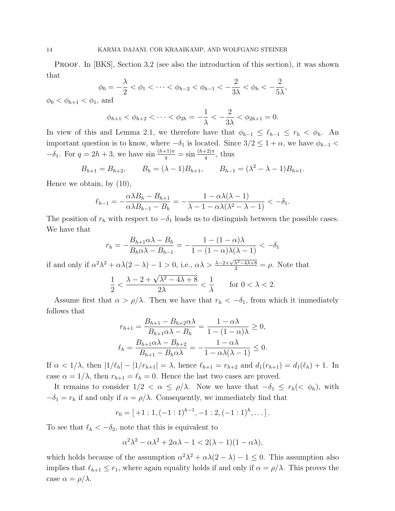PROOF. In [BKS], Section 3.2 (see also the introduction of this section), it was shown that

$$
\phi_0 = -\frac{\lambda}{2} < \phi_1 < \dots < \phi_{h-2} < \phi_{h-1} < -\frac{2}{3\lambda} < \phi_h < -\frac{2}{5\lambda},
$$

 $\phi_0 < \phi_{h+1} < \phi_1$ , and

$$
\phi_{h+1} < \phi_{h+2} < \cdots < \phi_{2h} = -\frac{1}{\lambda} < -\frac{2}{3\lambda} < \phi_{2h+1} = 0.
$$

In view of this and Lemma 2.1, we therefore have that  $\phi_{h-1} \leq \ell_{h-1} \leq r_h < \phi_h$ . An important question is to know, where  $-\delta_1$  is located. Since  $3/2 \leq 1 + \alpha$ , we have  $\phi_{h-1}$  $-\delta_1$ . For  $q = 2h + 3$ , we have  $\sin \frac{(h+1)\pi}{q} = \sin \frac{(h+2)\pi}{q}$ , thus

$$
B_{h+1} = B_{h+2},
$$
  $B_h = (\lambda - 1)B_{h+1},$   $B_{h-1} = (\lambda^2 - \lambda - 1)B_{h+1}.$ 

Hence we obtain, by (10),

$$
\ell_{h-1} = -\frac{\alpha \lambda B_h - B_{h+1}}{\alpha \lambda B_{h-1} - B_h} = -\frac{1 - \alpha \lambda (\lambda - 1)}{\lambda - 1 - \alpha \lambda (\lambda^2 - \lambda - 1)} < -\delta_1.
$$

The position of  $r_h$  with respect to  $-\delta_1$  leads us to distinguish between the possible cases. We have that

$$
r_h = -\frac{B_{h+1}\alpha\lambda - B_h}{B_h\alpha\lambda - B_{h-1}} = -\frac{1 - (1 - \alpha)\lambda}{1 - (1 - \alpha)\lambda(\lambda - 1)} < -\delta_1
$$

if and only if  $\alpha^2 \lambda^2 + \alpha \lambda (2 - \lambda) - 1 > 0$ , i.e.,  $\alpha \lambda > \frac{\lambda - 2 + \sqrt{\lambda^2 - 4\lambda + 8}}{2} = \rho$ . Note that

$$
\frac{1}{2} < \frac{\lambda - 2 + \sqrt{\lambda^2 - 4\lambda + 8}}{2\lambda} < \frac{1}{\lambda} \qquad \text{for } 0 < \lambda < 2.
$$

Assume first that  $\alpha > \rho/\lambda$ . Then we have that  $r_h < -\delta_1$ , from which it immediately follows that

$$
r_{h+1} = \frac{B_{h+1} - B_{h+2}\alpha\lambda}{B_{h+1}\alpha\lambda - B_h} = \frac{1 - \alpha\lambda}{1 - (1 - \alpha)\lambda} \ge 0,
$$
  

$$
\ell_h = \frac{B_{h+1}\alpha\lambda - B_{h+2}}{B_{h+1} - B_h\alpha\lambda} = -\frac{1 - \alpha\lambda}{1 - \alpha\lambda(\lambda - 1)} \le 0.
$$

If  $\alpha < 1/\lambda$ , then  $|1/\ell_h| - |1/r_{h+1}| = \lambda$ , hence  $\ell_{h+1} = r_{h+2}$  and  $d_1(r_{h+1}) = d_1(\ell_h) + 1$ . In case  $\alpha = 1/\lambda$ , then  $r_{h+1} = \ell_h = 0$ . Hence the last two cases are proved.

It remains to consider  $1/2 < \alpha \leq \rho/\lambda$ . Now we have that  $-\delta_1 \leq r_h(< \phi_h)$ , with  $-\delta_1 = r_h$  if and only if  $\alpha = \rho/\lambda$ . Consequently, we immediately find that

$$
r_0 = [+1:1, (-1:1)^{h-1}, -1:2, (-1:1)^h, \dots].
$$

To see that  $\ell_h < -\delta_2$ , note that this is equivalent to

$$
\alpha^2 \lambda^2 - \alpha \lambda^2 + 2\alpha \lambda - 1 < 2(\lambda - 1)(1 - \alpha \lambda),
$$

which holds because of the assumption  $\alpha^2 \lambda^2 + \alpha \lambda (2 - \lambda) - 1 \leq 0$ . This assumption also implies that  $\ell_{h+1} \leq r_1$ , where again equality holds if and only if  $\alpha = \rho/\lambda$ . This proves the case  $\alpha = \rho/\lambda$ .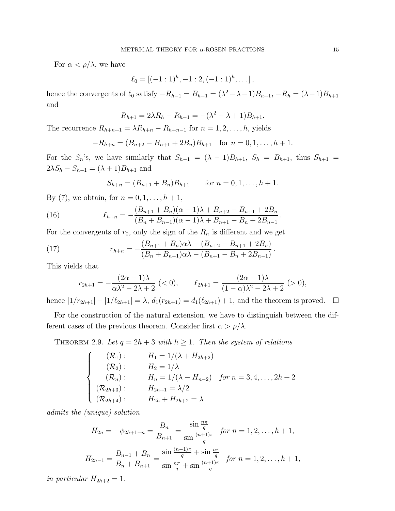For  $\alpha < \rho/\lambda$ , we have

$$
\ell_0 = [(-1:1)^h, -1:2, (-1:1)^h, \dots],
$$

hence the convergents of  $\ell_0$  satisfy  $-R_{h-1} = B_{h-1} = (\lambda^2 - \lambda - 1)B_{h+1}, -R_h = (\lambda - 1)B_{h+1}$ and

$$
R_{h+1} = 2\lambda R_h - R_{h-1} = -(\lambda^2 - \lambda + 1)B_{h+1}.
$$

The recurrence  $R_{h+n+1} = \lambda R_{h+n} - R_{h+n-1}$  for  $n = 1, 2, \ldots, h$ , yields

$$
-R_{h+n} = (B_{n+2} - B_{n+1} + 2B_n)B_{h+1} \text{ for } n = 0, 1, ..., h+1.
$$

For the  $S_n$ 's, we have similarly that  $S_{h-1} = (\lambda - 1)B_{h+1}$ ,  $S_h = B_{h+1}$ , thus  $S_{h+1} =$  $2\lambda S_h - S_{h-1} = (\lambda + 1)B_{h+1}$  and

$$
S_{h+n} = (B_{n+1} + B_n)B_{h+1} \qquad \text{for } n = 0, 1, \dots, h+1.
$$

By (7), we obtain, for  $n = 0, 1, ..., h + 1$ ,

(16) 
$$
\ell_{h+n} = -\frac{(B_{n+1} + B_n)(\alpha - 1)\lambda + B_{n+2} - B_{n+1} + 2B_n}{(B_n + B_{n-1})(\alpha - 1)\lambda + B_{n+1} - B_n + 2B_{n-1}}.
$$

For the convergents of  $r_0$ , only the sign of the  $R_n$  is different and we get

(17) 
$$
r_{h+n} = -\frac{(B_{n+1} + B_n)\alpha\lambda - (B_{n+2} - B_{n+1} + 2B_n)}{(B_n + B_{n-1})\alpha\lambda - (B_{n+1} - B_n + 2B_{n-1})}.
$$

This yields that

$$
r_{2h+1} = -\frac{(2\alpha - 1)\lambda}{\alpha\lambda^2 - 2\lambda + 2} \; (<0), \qquad \ell_{2h+1} = \frac{(2\alpha - 1)\lambda}{(1 - \alpha)\lambda^2 - 2\lambda + 2} \; (>0),
$$

hence  $|1/r_{2h+1}| - |1/\ell_{2h+1}| = \lambda$ ,  $d_1(r_{2h+1}) = d_1(\ell_{2h+1}) + 1$ , and the theorem is proved.  $\square$ 

For the construction of the natural extension, we have to distinguish between the different cases of the previous theorem. Consider first  $\alpha > \rho/\lambda$ .

THEOREM 2.9. Let  $q = 2h + 3$  with  $h \ge 1$ . Then the system of relations

$$
\begin{cases}\n(\mathcal{R}_1): & H_1 = 1/(\lambda + H_{2h+2}) \\
(\mathcal{R}_2): & H_2 = 1/\lambda \\
(\mathcal{R}_n): & H_n = 1/(\lambda - H_{n-2}) \quad \text{for } n = 3, 4, ..., 2h+2 \\
(\mathcal{R}_{2h+3}): & H_{2h+1} = \lambda/2 \\
(\mathcal{R}_{2h+4}): & H_{2h} + H_{2h+2} = \lambda\n\end{cases}
$$

admits the (unique) solution

$$
H_{2n} = -\phi_{2h+1-n} = \frac{B_n}{B_{n+1}} = \frac{\sin \frac{n\pi}{q}}{\sin \frac{(n+1)\pi}{q}} \quad \text{for } n = 1, 2, \dots, h+1,
$$
  

$$
H_{2n-1} = \frac{B_{n-1} + B_n}{B_n + B_{n+1}} = \frac{\sin \frac{(n-1)\pi}{q} + \sin \frac{n\pi}{q}}{\sin \frac{n\pi}{q} + \sin \frac{(n+1)\pi}{q}} \quad \text{for } n = 1, 2, \dots, h+1,
$$

in particular  $H_{2h+2} = 1$ .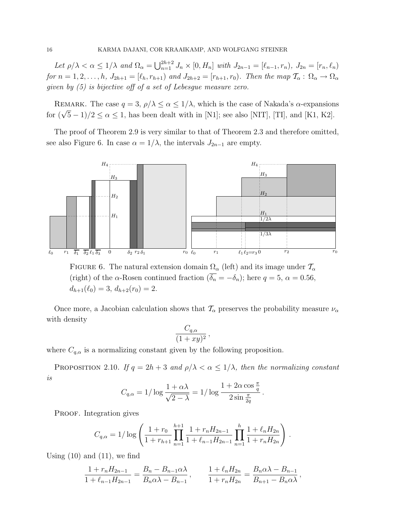Let  $\rho/\lambda < \alpha \leq 1/\lambda$  and  $\Omega_{\alpha} = \bigcup_{n=1}^{2h+2} J_n \times [0, H_n]$  with  $J_{2n-1} = [\ell_{n-1}, r_n), J_{2n} = [r_n, \ell_n)$ for  $n = 1, 2, \ldots, h$ ,  $J_{2h+1} = [\ell_h, r_{h+1})$  and  $J_{2h+2} = [r_{h+1}, r_0)$ . Then the map  $\mathcal{T}_{\alpha}: \Omega_{\alpha} \to \Omega_{\alpha}$ given by (5) is bijective off of a set of Lebesgue measure zero.

REMARK. The case  $q = 3$ ,  $\rho/\lambda \leq \alpha \leq 1/\lambda$ , which is the case of Nakada's  $\alpha$ -expansions for  $(\sqrt{5}-1)/2 \le \alpha \le 1$ , has been dealt with in [N1]; see also [NIT], [TI], and [K1, K2].

The proof of Theorem 2.9 is very similar to that of Theorem 2.3 and therefore omitted, see also Figure 6. In case  $\alpha = 1/\lambda$ , the intervals  $J_{2n-1}$  are empty.



FIGURE 6. The natural extension domain  $\Omega_{\alpha}$  (left) and its image under  $\mathcal{T}_{\alpha}$ (right) of the  $\alpha$ -Rosen continued fraction  $(\overline{\delta_n} = -\delta_n)$ ; here  $q = 5$ ,  $\alpha = 0.56$ ,  $d_{h+1}(\ell_0) = 3, d_{h+2}(r_0) = 2.$ 

Once more, a Jacobian calculation shows that  $\mathcal{T}_{\alpha}$  preserves the probability measure  $\nu_{\alpha}$ with density

$$
\frac{C_{q,\alpha}}{(1+xy)^2}\,,
$$

where  $C_{q,\alpha}$  is a normalizing constant given by the following proposition.

PROPOSITION 2.10. If  $q = 2h + 3$  and  $\rho/\lambda < \alpha \leq 1/\lambda$ , then the normalizing constant is

$$
C_{q,\alpha} = 1/\log \frac{1+\alpha\lambda}{\sqrt{2-\lambda}} = 1/\log \frac{1+2\alpha\cos\frac{\pi}{q}}{2\sin\frac{\pi}{2q}}.
$$

PROOF. Integration gives

$$
C_{q,\alpha} = 1/\log\left(\frac{1+r_0}{1+r_{h+1}}\prod_{n=1}^{h+1}\frac{1+r_nH_{2n-1}}{1+\ell_{n-1}H_{2n-1}}\prod_{n=1}^h\frac{1+\ell_nH_{2n}}{1+r_nH_{2n}}\right).
$$

Using  $(10)$  and  $(11)$ , we find

$$
\frac{1 + r_n H_{2n-1}}{1 + \ell_{n-1} H_{2n-1}} = \frac{B_n - B_{n-1} \alpha \lambda}{B_n \alpha \lambda - B_{n-1}}, \qquad \frac{1 + \ell_n H_{2n}}{1 + r_n H_{2n}} = \frac{B_n \alpha \lambda - B_{n-1}}{B_{n+1} - B_n \alpha \lambda},
$$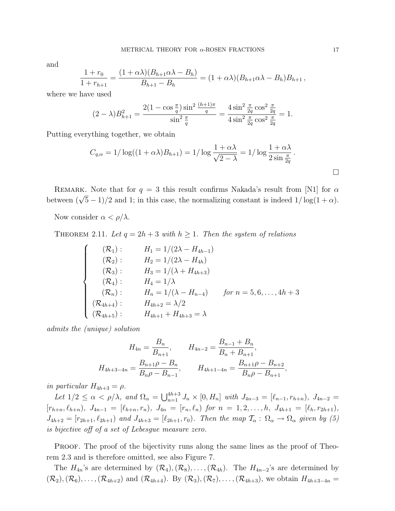and

$$
\frac{1+r_0}{1+r_{h+1}} = \frac{(1+\alpha\lambda)(B_{h+1}\alpha\lambda - B_h)}{B_{h+1} - B_h} = (1+\alpha\lambda)(B_{h+1}\alpha\lambda - B_h)B_{h+1},
$$

where we have used

$$
(2 - \lambda)B_{h+1}^2 = \frac{2(1 - \cos\frac{\pi}{q})\sin^2\frac{(h+1)\pi}{q}}{\sin^2\frac{\pi}{q}} = \frac{4\sin^2\frac{\pi}{2q}\cos^2\frac{\pi}{2q}}{4\sin^2\frac{\pi}{2q}\cos^2\frac{\pi}{2q}} = 1.
$$

Putting everything together, we obtain

$$
C_{q,\alpha} = 1/\log((1+\alpha\lambda)B_{h+1}) = 1/\log\frac{1+\alpha\lambda}{\sqrt{2-\lambda}} = 1/\log\frac{1+\alpha\lambda}{2\sin\frac{\pi}{2q}}.
$$

REMARK. Note that for  $q = 3$  this result confirms Nakada's result from [N1] for  $\alpha$ between  $(\sqrt{5}-1)/2$  and 1; in this case, the normalizing constant is indeed  $1/\log(1+\alpha)$ .

Now consider  $\alpha < \rho/\lambda$ .

THEOREM 2.11. Let  $q = 2h + 3$  with  $h \ge 1$ . Then the system of relations

$$
\begin{cases}\n(\mathcal{R}_1): & H_1 = 1/(2\lambda - H_{4h-1}) \\
(\mathcal{R}_2): & H_2 = 1/(2\lambda - H_{4h}) \\
(\mathcal{R}_3): & H_3 = 1/(\lambda + H_{4h+3}) \\
(\mathcal{R}_4): & H_4 = 1/\lambda \\
(\mathcal{R}_n): & H_n = 1/(\lambda - H_{n-4}) \quad \text{for } n = 5, 6, ..., 4h+3 \\
(\mathcal{R}_{4h+4}): & H_{4h+2} = \lambda/2 \\
(\mathcal{R}_{4h+5}): & H_{4h+1} + H_{4h+3} = \lambda\n\end{cases}
$$

admits the (unique) solution

$$
H_{4n} = \frac{B_n}{B_{n+1}}, \qquad H_{4n-2} = \frac{B_{n-1} + B_n}{B_n + B_{n+1}},
$$

$$
H_{4h+3-4n} = \frac{B_{n+1}\rho - B_n}{B_n \rho - B_{n-1}}, \qquad H_{4h+1-4n} = \frac{B_{n+1}\rho - B_{n+2}}{B_n \rho - B_{n+1}},
$$

in particular  $H_{4h+3} = \rho$ .

Let  $1/2 \leq \alpha < \rho/\lambda$ , and  $\Omega_{\alpha} = \bigcup_{n=1}^{4h+3} J_n \times [0, H_n]$  with  $J_{4n-3} = [\ell_{n-1}, r_{h+n}), J_{4n-2} =$  $[r_{h+n}, \ell_{h+n}), J_{4n-1} = [\ell_{h+n}, r_n), J_{4n} = [r_n, \ell_n) \text{ for } n = 1, 2, \ldots, h, J_{4h+1} = [\ell_h, r_{2h+1}),$  $J_{4h+2} = [r_{2h+1}, \ell_{2h+1})$  and  $J_{4h+3} = [\ell_{2h+1}, r_0)$ . Then the map  $\mathcal{T}_{\alpha} : \Omega_{\alpha} \to \Omega_{\alpha}$  given by (5) is bijective off of a set of Lebesgue measure zero.

PROOF. The proof of the bijectivity runs along the same lines as the proof of Theorem 2.3 and is therefore omitted, see also Figure 7.

The  $H_{4n}$ 's are determined by  $(\mathcal{R}_4), (\mathcal{R}_8), \ldots, (\mathcal{R}_{4h})$ . The  $H_{4n-2}$ 's are determined by  $(\mathcal{R}_2),(\mathcal{R}_6),\ldots,(\mathcal{R}_{4h+2})$  and  $(\mathcal{R}_{4h+4})$ . By  $(\mathcal{R}_3),(\mathcal{R}_7),\ldots,(\mathcal{R}_{4h+3})$ , we obtain  $H_{4h+3-4n}$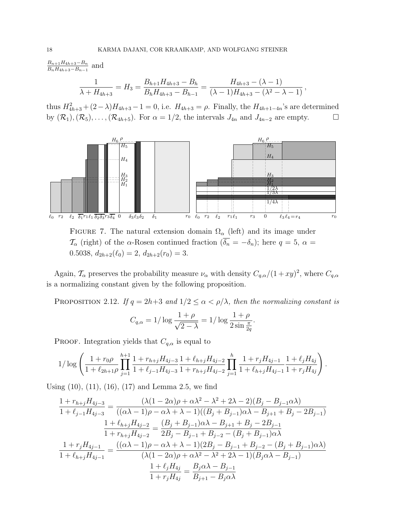$B_{n+1}H_{4h+3}-B_n$  $\frac{B_{n+1}H_{4h+3}-B_n}{B_nH_{4h+3}-B_{n-1}}$  and

$$
\frac{1}{\lambda + H_{4h+3}} = H_3 = \frac{B_{h+1}H_{4h+3} - B_h}{B_hH_{4h+3} - B_{h-1}} = \frac{H_{4h+3} - (\lambda - 1)}{(\lambda - 1)H_{4h+3} - (\lambda^2 - \lambda - 1)},
$$

thus  $H_{4h+3}^2 + (2-\lambda)H_{4h+3} - 1 = 0$ , i.e.  $H_{4h+3} = \rho$ . Finally, the  $H_{4h+1-4n}$ 's are determined by  $(\mathcal{R}_1),(\mathcal{R}_5),\ldots,(\mathcal{R}_{4h+5})$ . For  $\alpha=1/2$ , the intervals  $J_{4n}$  and  $J_{4n-2}$  are empty.  $\Box$ 



FIGURE 7. The natural extension domain  $\Omega_{\alpha}$  (left) and its image under  $\mathcal{T}_{\alpha}$  (right) of the  $\alpha$ -Rosen continued fraction  $(\overline{\delta_n} = -\delta_n)$ ; here  $q = 5$ ,  $\alpha =$ 0.5038,  $d_{2h+2}(\ell_0) = 2$ ,  $d_{2h+2}(r_0) = 3$ .

Again,  $\mathcal{T}_{\alpha}$  preserves the probability measure  $\nu_{\alpha}$  with density  $C_{q,\alpha}/(1+xy)^2$ , where  $C_{q,\alpha}$ is a normalizing constant given by the following proposition.

PROPOSITION 2.12. If  $q = 2h+3$  and  $1/2 \leq \alpha < \rho/\lambda$ , then the normalizing constant is

$$
C_{q,\alpha} = 1/\log \frac{1+\rho}{\sqrt{2-\lambda}} = 1/\log \frac{1+\rho}{2\sin \frac{\pi}{2q}}.
$$

PROOF. Integration yields that  $C_{q,\alpha}$  is equal to

$$
1/\log\left(\frac{1+r_0\rho}{1+\ell_{2h+1}\rho}\prod_{j=1}^{h+1}\frac{1+r_{h+j}H_{4j-3}}{1+\ell_{j-1}H_{4j-3}}\frac{1+\ell_{h+j}H_{4j-2}}{1+r_{h+j}H_{4j-2}}\prod_{j=1}^{h}\frac{1+r_jH_{4j-1}}{1+\ell_{h+j}H_{4j-1}}\frac{1+\ell_jH_{4j}}{1+r_jH_{4j}}\right).
$$

Using (10), (11), (16), (17) and Lemma 2.5, we find

$$
\frac{1 + r_{h+j}H_{4j-3}}{1 + \ell_{j-1}H_{4j-3}} = \frac{(\lambda(1 - 2\alpha)\rho + \alpha\lambda^2 - \lambda^2 + 2\lambda - 2)(B_j - B_{j-1}\alpha\lambda)}{((\alpha\lambda - 1)\rho - \alpha\lambda + \lambda - 1)((B_j + B_{j-1})\alpha\lambda - B_{j+1} + B_j - 2B_{j-1})}
$$
\n
$$
\frac{1 + \ell_{h+j}H_{4j-2}}{1 + r_{h+j}H_{4j-2}} = \frac{(B_j + B_{j-1})\alpha\lambda - B_{j+1} + B_j - 2B_{j-1}}{2B_j - B_{j-1} + B_{j-2} - (B_j + B_{j-1})\alpha\lambda}
$$
\n
$$
\frac{1 + r_jH_{4j-1}}{1 + \ell_{h+j}H_{4j-1}} = \frac{((\alpha\lambda - 1)\rho - \alpha\lambda + \lambda - 1)(2B_j - B_{j-1} + B_{j-2} - (B_j + B_{j-1})\alpha\lambda)}{(\lambda(1 - 2\alpha)\rho + \alpha\lambda^2 - \lambda^2 + 2\lambda - 1)(B_j\alpha\lambda - B_{j-1})}
$$
\n
$$
\frac{1 + \ell_jH_{4j}}{1 + r_jH_{4j}} = \frac{B_j\alpha\lambda - B_{j-1}}{B_{j+1} - B_j\alpha\lambda}
$$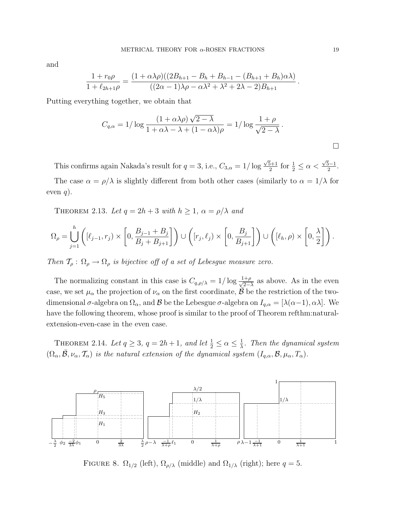and

$$
\frac{1+r_0\rho}{1+\ell_{2h+1}\rho} = \frac{(1+\alpha\lambda\rho)((2B_{h+1}-B_h+B_{h-1}-(B_{h+1}+B_h)\alpha\lambda)}{((2\alpha-1)\lambda\rho-\alpha\lambda^2+\lambda^2+2\lambda-2)B_{h+1}}.
$$

Putting everything together, we obtain that

$$
C_{q,\alpha} = 1/\log \frac{(1+\alpha\lambda\rho)\sqrt{2-\lambda}}{1+\alpha\lambda-\lambda+(1-\alpha\lambda)\rho} = 1/\log \frac{1+\rho}{\sqrt{2-\lambda}}.
$$

This confirms again Nakada's result for  $q = 3$ , i.e.,  $C_{3,\alpha} = 1/\log$  $\sqrt{5}+1$  $\frac{5+1}{2}$  for  $\frac{1}{2} \leq \alpha <$  $\sqrt{5}-1$  $\frac{1}{2}$ .

The case  $\alpha = \rho/\lambda$  is slightly different from both other cases (similarly to  $\alpha = 1/\lambda$  for even  $q$ ).

THEOREM 2.13. Let  $q = 2h + 3$  with  $h \ge 1$ ,  $\alpha = \rho/\lambda$  and

$$
\Omega_{\rho} = \bigcup_{j=1}^{h} \left( [\ell_{j-1}, r_j] \times \left[ 0, \frac{B_{j-1} + B_j}{B_j + B_{j+1}} \right] \right) \cup \left( [r_j, \ell_j) \times \left[ 0, \frac{B_j}{B_{j+1}} \right] \right) \cup \left( [\ell_h, \rho) \times \left[ 0, \frac{\lambda}{2} \right] \right).
$$

Then  $\mathcal{T}_{\rho} : \Omega_{\rho} \to \Omega_{\rho}$  is bijective off of a set of Lebesgue measure zero.

The normalizing constant in this case is  $C_{q,\rho/\lambda} = 1/\log \frac{1+\rho}{\sqrt{2-\lambda}}$  as above. As in the even case, we set  $\mu_{\alpha}$  the projection of  $\nu_{\alpha}$  on the first coordinate,  $\bar{\beta}$  be the restriction of the twodimensional  $\sigma$ -algebra on  $\Omega_{\alpha}$ , and  $\beta$  be the Lebesgue  $\sigma$ -algebra on  $I_{q,\alpha} = [\lambda(\alpha-1), \alpha\lambda]$ . We have the following theorem, whose proof is similar to the proof of Theorem refthm:naturalextension-even-case in the even case.

THEOREM 2.14. Let  $q \geq 3$ ,  $q = 2h + 1$ , and let  $\frac{1}{2} \leq \alpha \leq \frac{1}{\lambda}$  $\frac{1}{\lambda}$ . Then the dynamical system  $(\Omega_{\alpha}, \mathcal{B}, \nu_{\alpha}, \mathcal{T}_{\alpha})$  is the natural extension of the dynamical system  $(I_{q,\alpha}, \mathcal{B}, \mu_{\alpha}, T_{\alpha})$ .



FIGURE 8.  $\Omega_{1/2}$  (left),  $\Omega_{\rho/\lambda}$  (middle) and  $\Omega_{1/\lambda}$  (right); here  $q=5$ .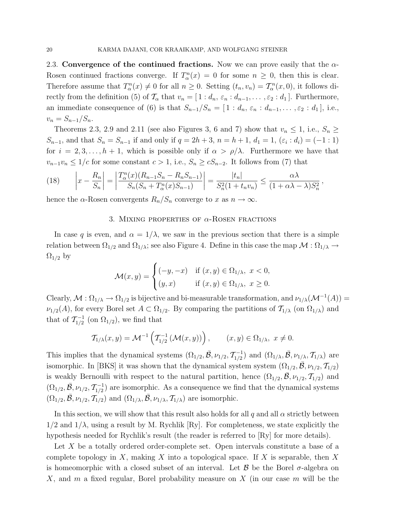2.3. Convergence of the continued fractions. Now we can prove easily that the  $\alpha$ -Rosen continued fractions converge. If  $T_\alpha^n(x) = 0$  for some  $n \geq 0$ , then this is clear. Therefore assume that  $T_{\alpha}^n(x) \neq 0$  for all  $n \geq 0$ . Setting  $(t_n, v_n) = T_{\alpha}^n(x, 0)$ , it follows directly from the definition (5) of  $\mathcal{T}_{\alpha}$  that  $v_n = [1 : d_n, \varepsilon_n : d_{n-1}, \ldots, \varepsilon_2 : d_1]$ . Furthermore, an immediate consequence of (6) is that  $S_{n-1}/S_n = [1 : d_n, \varepsilon_n : d_{n-1}, \ldots, \varepsilon_2 : d_1]$ , i.e.,  $v_n = S_{n-1}/S_n$ .

Theorems 2.3, 2.9 and 2.11 (see also Figures 3, 6 and 7) show that  $v_n \le 1$ , i.e.,  $S_n \ge$  $S_{n-1}$ , and that  $S_n = S_{n-1}$  if and only if  $q = 2h + 3$ ,  $n = h + 1$ ,  $d_1 = 1$ ,  $(\varepsilon_i : d_i) = (-1 : 1)$ for  $i = 2, 3, \ldots, h + 1$ , which is possible only if  $\alpha > \rho/\lambda$ . Furthermore we have that  $v_{n-1}v_n \leq 1/c$  for some constant  $c > 1$ , i.e.,  $S_n \geq cS_{n-2}$ . It follows from (7) that

(18) 
$$
\left| x - \frac{R_n}{S_n} \right| = \left| \frac{T_\alpha^n(x)(R_{n-1}S_n - R_nS_{n-1})}{S_n(S_n + T_\alpha^n(x)S_{n-1})} \right| = \frac{|t_n|}{S_n^2(1 + t_n v_n)} \le \frac{\alpha \lambda}{(1 + \alpha \lambda - \lambda)S_n^2},
$$

hence the  $\alpha$ -Rosen convergents  $R_n/S_n$  converge to x as  $n \to \infty$ .

### 3. MIXING PROPERTIES OF  $\alpha$ -ROSEN FRACTIONS

In case q is even, and  $\alpha = 1/\lambda$ , we saw in the previous section that there is a simple relation between  $\Omega_{1/2}$  and  $\Omega_{1/\lambda}$ ; see also Figure 4. Define in this case the map  $\mathcal{M}: \Omega_{1/\lambda} \to$  $\Omega_{1/2}$  by

$$
\mathcal{M}(x,y) = \begin{cases}\n(-y, -x) & \text{if } (x,y) \in \Omega_{1/\lambda}, \ x < 0, \\
(y,x) & \text{if } (x,y) \in \Omega_{1/\lambda}, \ x \ge 0.\n\end{cases}
$$

Clearly,  $\mathcal{M}: \Omega_{1/\lambda} \to \Omega_{1/2}$  is bijective and bi-measurable transformation, and  $\nu_{1/\lambda}(\mathcal{M}^{-1}(A)) =$  $\nu_{1/2}(A)$ , for every Borel set  $A \subset \Omega_{1/2}$ . By comparing the partitions of  $\mathcal{T}_{1/\lambda}$  (on  $\Omega_{1/\lambda}$ ) and that of  $\mathcal{T}_{1/2}^{-1}$  $\frac{1}{1/2}$  (on  $\Omega_{1/2}$ ), we find that

$$
\mathcal{T}_{1/\lambda}(x,y) = \mathcal{M}^{-1}\left(\mathcal{T}_{1/2}^{-1}\left(\mathcal{M}(x,y)\right)\right), \qquad (x,y) \in \Omega_{1/\lambda}, \ x \neq 0.
$$

This implies that the dynamical systems  $(\Omega_{1/2}, \bar{\mathcal{B}}, \nu_{1/2}, \mathcal{T}_{1/2}^{-1})$  $\mathcal{I}_{1/2}^{-1}$ ) and  $(\Omega_{1/\lambda}, \overline{\mathcal{B}}, \nu_{1/\lambda}, \mathcal{T}_{1/\lambda})$  are isomorphic. In [BKS] it was shown that the dynamical system system  $(\Omega_{1/2}, \mathcal{B}, \nu_{1/2}, \mathcal{T}_{1/2})$ is weakly Bernoulli with respect to the natural partition, hence  $(\Omega_{1/2}, \mathcal{B}, \nu_{1/2}, \mathcal{T}_{1/2})$  and  $(\Omega_{1/2}, \bar{\mathcal{B}}, \nu_{1/2}, \mathcal{T}_{1/2}^{-1})$  $\frac{1}{1/2}$  are isomorphic. As a consequence we find that the dynamical systems  $(\Omega_{1/2}, \overline{\mathcal{B}}, \nu_{1/2}, \mathcal{T}_{1/2})$  and  $(\Omega_{1/\lambda}, \overline{\mathcal{B}}, \nu_{1/\lambda}, \mathcal{T}_{1/\lambda})$  are isomorphic.

In this section, we will show that this result also holds for all q and all  $\alpha$  strictly between  $1/2$  and  $1/\lambda$ , using a result by M. Rychlik [Ry]. For completeness, we state explicitly the hypothesis needed for Rychlik's result (the reader is referred to [Ry] for more details).

Let  $X$  be a totally ordered order-complete set. Open intervals constitute a base of a complete topology in X, making X into a topological space. If X is separable, then X is homeomorphic with a closed subset of an interval. Let  $\beta$  be the Borel  $\sigma$ -algebra on X, and m a fixed regular, Borel probability measure on X (in our case  $m$  will be the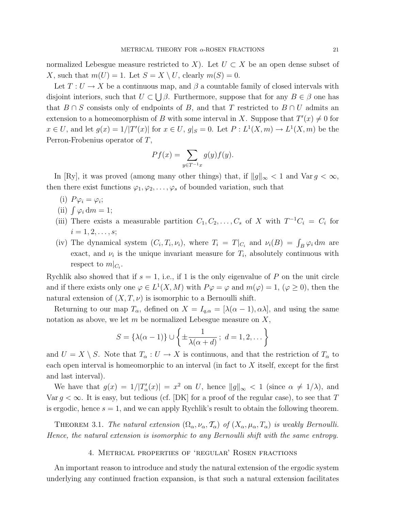normalized Lebesgue measure restricted to X). Let  $U \subset X$  be an open dense subset of X, such that  $m(U) = 1$ . Let  $S = X \setminus U$ , clearly  $m(S) = 0$ .

Let  $T: U \to X$  be a continuous map, and  $\beta$  a countable family of closed intervals with disjoint interiors, such that  $U \subset \bigcup \beta$ . Furthermore, suppose that for any  $B \in \beta$  one has that  $B \cap S$  consists only of endpoints of B, and that T restricted to  $B \cap U$  admits an extension to a homeomorphism of B with some interval in X. Suppose that  $T'(x) \neq 0$  for  $x \in U$ , and let  $g(x) = 1/|T'(x)|$  for  $x \in U$ ,  $g|_S = 0$ . Let  $P: L^1(X, m) \to L^1(X, m)$  be the Perron-Frobenius operator of T,

$$
Pf(x) = \sum_{y \in T^{-1}x} g(y)f(y).
$$

In [Ry], it was proved (among many other things) that, if  $||g||_{\infty} < 1$  and  $\text{Var } g < \infty$ , then there exist functions  $\varphi_1, \varphi_2, \ldots, \varphi_s$  of bounded variation, such that

- (i)  $P\varphi_i = \varphi_i;$
- (ii)  $\int \varphi_i \, dm = 1;$
- (iii) There exists a measurable partition  $C_1, C_2, \ldots, C_s$  of X with  $T^{-1}C_i = C_i$  for  $i = 1, 2, \ldots, s;$
- (iv) The dynamical system  $(C_i, T_i, \nu_i)$ , where  $T_i = T|_{C_i}$  and  $\nu_i(B) = \int_B \varphi_i dm$  are exact, and  $\nu_i$  is the unique invariant measure for  $T_i$ , absolutely continuous with respect to  $m|_{C_i}$ .

Rychlik also showed that if  $s = 1$ , i.e., if 1 is the only eigenvalue of P on the unit circle and if there exists only one  $\varphi \in L^1(X, M)$  with  $P\varphi = \varphi$  and  $m(\varphi) = 1$ ,  $(\varphi \ge 0)$ , then the natural extension of  $(X, T, \nu)$  is isomorphic to a Bernoulli shift.

Returning to our map  $T_{\alpha}$ , defined on  $X = I_{q,\alpha} = [\lambda(\alpha-1), \alpha\lambda]$ , and using the same notation as above, we let  $m$  be normalized Lebesgue measure on  $X$ ,

$$
S = \{\lambda(\alpha - 1)\} \cup \left\{\pm \frac{1}{\lambda(\alpha + d)}; d = 1, 2, \dots\right\}
$$

and  $U = X \setminus S$ . Note that  $T_{\alpha}: U \to X$  is continuous, and that the restriction of  $T_{\alpha}$  to each open interval is homeomorphic to an interval (in fact to X itself, except for the first and last interval).

We have that  $g(x) = 1/|T'_{\alpha}(x)| = x^2$  on U, hence  $||g||_{\infty} < 1$  (since  $\alpha \neq 1/\lambda$ ), and Var  $q < \infty$ . It is easy, but tedious (cf. [DK] for a proof of the regular case), to see that T is ergodic, hence  $s = 1$ , and we can apply Rychlik's result to obtain the following theorem.

THEOREM 3.1. The natural extension  $(\Omega_{\alpha}, \nu_{\alpha}, \mathcal{T}_{\alpha})$  of  $(X_{\alpha}, \mu_{\alpha}, T_{\alpha})$  is weakly Bernoulli. Hence, the natural extension is isomorphic to any Bernoulli shift with the same entropy.

#### 4. Metrical properties of 'regular' Rosen fractions

An important reason to introduce and study the natural extension of the ergodic system underlying any continued fraction expansion, is that such a natural extension facilitates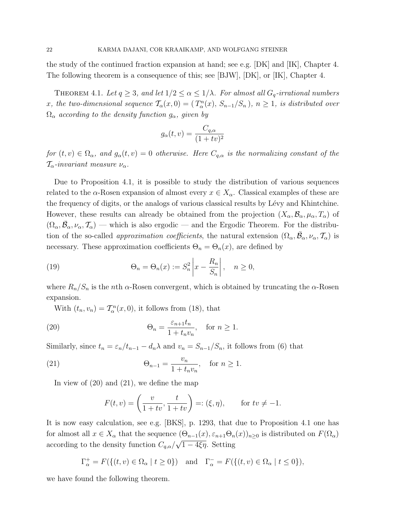the study of the continued fraction expansion at hand; see e.g. [DK] and [IK], Chapter 4. The following theorem is a consequence of this; see [BJW], [DK], or [IK], Chapter 4.

THEOREM 4.1. Let  $q \geq 3$ , and let  $1/2 \leq \alpha \leq 1/\lambda$ . For almost all  $G_q$ -irrational numbers x, the two-dimensional sequence  $\mathcal{T}_{\alpha}(x,0) = (T_{\alpha}^{n}(x), S_{n-1}/S_n)$ ,  $n \ge 1$ , is distributed over  $\Omega_{\alpha}$  according to the density function  $g_{\alpha}$ , given by

$$
g_{\alpha}(t,v) = \frac{C_{q,\alpha}}{(1+tv)^2}
$$

for  $(t, v) \in \Omega_{\alpha}$ , and  $g_{\alpha}(t, v) = 0$  otherwise. Here  $C_{q,\alpha}$  is the normalizing constant of the  $T_{\alpha}$ -invariant measure  $\nu_{\alpha}$ .

Due to Proposition 4.1, it is possible to study the distribution of various sequences related to the  $\alpha$ -Rosen expansion of almost every  $x \in X_\alpha$ . Classical examples of these are the frequency of digits, or the analogs of various classical results by Lévy and Khintchine. However, these results can already be obtained from the projection  $(X_\alpha, \mathcal{B}_\alpha, \mu_\alpha, T_\alpha)$  of  $(\Omega_\alpha, \bar{\mathcal{B}}_\alpha, \nu_\alpha, \mathcal{T}_\alpha)$  — which is also ergodic — and the Ergodic Theorem. For the distribution of the so-called *approximation coefficients*, the natural extension  $(\Omega_\alpha, \bar{\mathcal{B}}_\alpha, \nu_\alpha, \mathcal{T}_\alpha)$  is necessary. These approximation coefficients  $\Theta_n = \Theta_n(x)$ , are defined by

(19) 
$$
\Theta_n = \Theta_n(x) := S_n^2 \left| x - \frac{R_n}{S_n} \right|, \quad n \ge 0,
$$

where  $R_n/S_n$  is the nth  $\alpha$ -Rosen convergent, which is obtained by truncating the  $\alpha$ -Rosen expansion.

With  $(t_n, v_n) = T_\alpha^n(x, 0)$ , it follows from (18), that

(20) 
$$
\Theta_n = \frac{\varepsilon_{n+1} t_n}{1 + t_n v_n}, \quad \text{for } n \ge 1.
$$

Similarly, since  $t_n = \varepsilon_n/t_{n-1} - d_n\lambda$  and  $v_n = S_{n-1}/S_n$ , it follows from (6) that

(21) 
$$
\Theta_{n-1} = \frac{v_n}{1 + t_n v_n}, \text{ for } n \ge 1.
$$

In view of (20) and (21), we define the map

$$
F(t,v) = \left(\frac{v}{1+tv}, \frac{t}{1+tv}\right) =: (\xi, \eta), \quad \text{for } tv \neq -1.
$$

It is now easy calculation, see e.g. [BKS], p. 1293, that due to Proposition 4.1 one has for almost all  $x \in X_\alpha$  that the sequence  $(\Theta_{n-1}(x), \varepsilon_{n+1}\Theta_n(x))_{n\geq 0}$  is distributed on  $F(\Omega_\alpha)$ according to the density function  $C_{q,\alpha}/\sqrt{1-4\xi\eta}$ . Setting

$$
\Gamma_{\alpha}^{+} = F(\{(t, v) \in \Omega_{\alpha} \mid t \ge 0\}) \quad \text{and} \quad \Gamma_{\alpha}^{-} = F(\{(t, v) \in \Omega_{\alpha} \mid t \le 0\}),
$$

we have found the following theorem.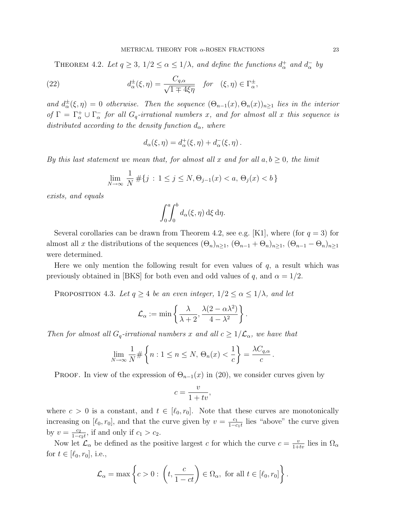THEOREM 4.2. Let  $q \geq 3$ ,  $1/2 \leq \alpha \leq 1/\lambda$ , and define the functions  $d_{\alpha}^+$  and  $d_{\alpha}^-$  by

(22) 
$$
d_{\alpha}^{\pm}(\xi,\eta) = \frac{C_{q,\alpha}}{\sqrt{1 \mp 4\xi\eta}} \quad \text{for} \quad (\xi,\eta) \in \Gamma_{\alpha}^{\pm},
$$

and  $d^{\pm}_{\alpha}(\xi,\eta) = 0$  otherwise. Then the sequence  $(\Theta_{n-1}(x), \Theta_n(x))_{n\geq 1}$  lies in the interior of  $\Gamma = \Gamma^+_{\alpha} \cup \Gamma^-_{\alpha}$  for all  $G_q$ -irrational numbers x, and for almost all x this sequence is distributed according to the density function  $d_{\alpha}$ , where

$$
d_{\alpha}(\xi,\eta) = d_{\alpha}^{+}(\xi,\eta) + d_{\alpha}^{-}(\xi,\eta).
$$

By this last statement we mean that, for almost all x and for all  $a, b \geq 0$ , the limit

$$
\lim_{N \to \infty} \frac{1}{N} \# \{ j : 1 \le j \le N, \Theta_{j-1}(x) < a, \Theta_j(x) < b \}
$$

exists, and equals

$$
\int_0^a \int_0^b d_{\alpha}(\xi, \eta) \,d\xi \,d\eta.
$$

Several corollaries can be drawn from Theorem 4.2, see e.g. [K1], where (for  $q = 3$ ) for almost all x the distributions of the sequences  $(\Theta_n)_{n\geq 1}$ ,  $(\Theta_{n-1} + \Theta_n)_{n\geq 1}$ ,  $(\Theta_{n-1} - \Theta_n)_{n\geq 1}$ were determined.

Here we only mention the following result for even values of  $q$ , a result which was previously obtained in [BKS] for both even and odd values of q, and  $\alpha = 1/2$ .

PROPOSITION 4.3. Let  $q \ge 4$  be an even integer,  $1/2 \le \alpha \le 1/\lambda$ , and let

$$
\mathcal{L}_{\alpha} := \min \left\{ \frac{\lambda}{\lambda + 2}, \frac{\lambda(2 - \alpha \lambda^2)}{4 - \lambda^2} \right\}.
$$

Then for almost all  $G_q$ -irrational numbers x and all  $c \geq 1/\mathcal{L}_{\alpha}$ , we have that

$$
\lim_{N \to \infty} \frac{1}{N} \# \left\{ n : 1 \le n \le N, \, \Theta_n(x) < \frac{1}{c} \right\} = \frac{\lambda C_{q,\alpha}}{c} \, .
$$

**PROOF.** In view of the expression of  $\Theta_{n-1}(x)$  in (20), we consider curves given by

$$
c = \frac{v}{1 + tv},
$$

where  $c > 0$  is a constant, and  $t \in [\ell_0, r_0]$ . Note that these curves are monotonically increasing on  $[\ell_0, r_0]$ , and that the curve given by  $v = \frac{c_1}{1-c_0}$  $\frac{c_1}{1-c_1t}$  lies "above" the curve given by  $v = \frac{c_2}{1-c}$  $\frac{c_2}{1-c_2t}$ , if and only if  $c_1 > c_2$ .

Now let  $\mathcal{L}_{\alpha}$  be defined as the positive largest c for which the curve  $c = \frac{v}{1+tv}$  lies in  $\Omega_{\alpha}$ for  $t \in [\ell_0, r_0]$ , i.e.,

$$
\mathcal{L}_{\alpha} = \max \left\{ c > 0 : \left( t, \frac{c}{1 - ct} \right) \in \Omega_{\alpha}, \text{ for all } t \in [\ell_0, r_0] \right\}.
$$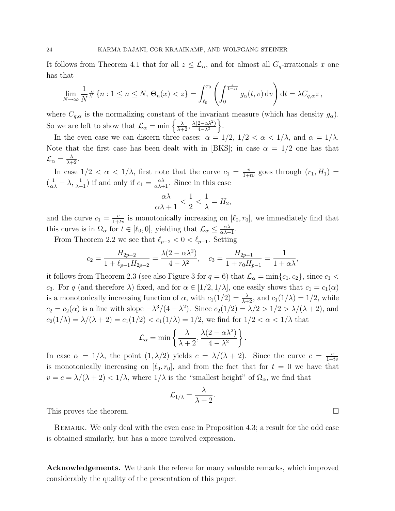It follows from Theorem 4.1 that for all  $z \leq \mathcal{L}_{\alpha}$ , and for almost all  $G_q$ -irrationals x one has that

$$
\lim_{N \to \infty} \frac{1}{N} \# \{ n : 1 \le n \le N, \, \Theta_n(x) < z \} = \int_{\ell_0}^{r_0} \left( \int_0^{\frac{z}{1 - z t}} g_\alpha(t, v) \, \mathrm{d}v \right) \mathrm{d}t = \lambda C_{q, \alpha} z \,,
$$

where  $C_{q,\alpha}$  is the normalizing constant of the invariant measure (which has density  $g_{\alpha}$ ). So we are left to show that  $\mathcal{L}_{\alpha} = \min \left\{ \frac{\lambda}{\lambda+2}, \frac{\lambda(2-\alpha\lambda^2)}{4-\lambda^2} \right\}$  $\frac{2-\alpha\lambda^2}{4-\lambda^2}\bigg\}.$ 

In the even case we can discern three cases:  $\alpha = 1/2, 1/2 < \alpha < 1/\lambda$ , and  $\alpha = 1/\lambda$ . Note that the first case has been dealt with in [BKS]; in case  $\alpha = 1/2$  one has that  $\mathcal{L}_{\alpha} = \frac{\lambda}{\lambda+2}.$ 

In case  $1/2 < \alpha < 1/\lambda$ , first note that the curve  $c_1 = \frac{v}{1+tv}$  goes through  $(r_1, H_1)$  $\left(\frac{1}{\alpha\lambda} - \lambda, \frac{1}{\lambda+1}\right)$  if and only if  $c_1 = \frac{\alpha\lambda}{\alpha\lambda+1}$ . Since in this case

$$
\frac{\alpha\lambda}{\alpha\lambda+1} < \frac{1}{2} < \frac{1}{\lambda} = H_2,
$$

and the curve  $c_1 = \frac{v}{1+tv}$  is monotonically increasing on  $[\ell_0, r_0]$ , we immediately find that this curve is in  $\Omega_{\alpha}$  for  $t \in [\ell_0, 0]$ , yielding that  $\mathcal{L}_{\alpha} \leq \frac{\alpha \lambda}{\alpha \lambda + 1}$ .

From Theorem 2.2 we see that  $\ell_{p-2} < 0 < \ell_{p-1}$ . Setting

$$
c_2 = \frac{H_{2p-2}}{1 + \ell_{p-1} H_{2p-2}} = \frac{\lambda (2 - \alpha \lambda^2)}{4 - \lambda^2}, \quad c_3 = \frac{H_{2p-1}}{1 + r_0 H_{p-1}} = \frac{1}{1 + \alpha \lambda},
$$

it follows from Theorem 2.3 (see also Figure 3 for  $q = 6$ ) that  $\mathcal{L}_{\alpha} = \min\{c_1, c_2\}$ , since  $c_1$ c<sub>3</sub>. For q (and therefore  $\lambda$ ) fixed, and for  $\alpha \in [1/2, 1/\lambda]$ , one easily shows that  $c_1 = c_1(\alpha)$ is a monotonically increasing function of  $\alpha$ , with  $c_1(1/2) = \frac{\lambda}{\lambda+2}$ , and  $c_1(1/\lambda) = 1/2$ , while  $c_2 = c_2(\alpha)$  is a line with slope  $-\lambda^3/(4-\lambda^2)$ . Since  $c_2(1/2) = \lambda/2 > 1/2 > \lambda/(\lambda+2)$ , and  $c_2(1/\lambda) = \lambda/(\lambda + 2) = c_1(1/2) < c_1(1/\lambda) = 1/2$ , we find for  $1/2 < \alpha < 1/\lambda$  that

$$
\mathcal{L}_{\alpha} = \min \left\{ \frac{\lambda}{\lambda + 2}, \frac{\lambda(2 - \alpha \lambda^2)}{4 - \lambda^2} \right\}
$$

In case  $\alpha = 1/\lambda$ , the point  $(1, \lambda/2)$  yields  $c = \lambda/(\lambda + 2)$ . Since the curve  $c = \frac{v}{1+\lambda}$  $1+tv$ is monotonically increasing on  $[\ell_0, r_0]$ , and from the fact that for  $t = 0$  we have that  $v = c = \lambda/(\lambda + 2) < 1/\lambda$ , where  $1/\lambda$  is the "smallest height" of  $\Omega_{\alpha}$ , we find that

$$
{\cal L}_{1/\lambda}=\frac{\lambda}{\lambda+2}.
$$

.

This proves the theorem.  $\Box$ 

Remark. We only deal with the even case in Proposition 4.3; a result for the odd case is obtained similarly, but has a more involved expression.

Acknowledgements. We thank the referee for many valuable remarks, which improved considerably the quality of the presentation of this paper.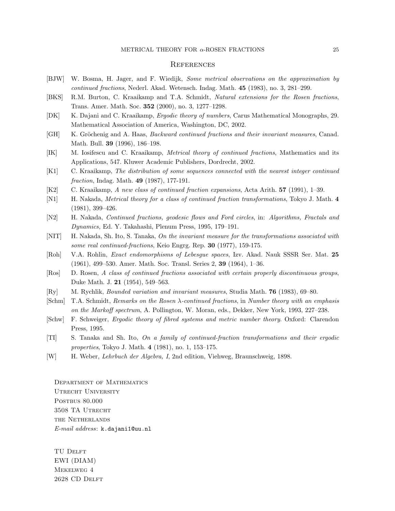#### METRICAL THEORY FOR  $\alpha$ -ROSEN FRACTIONS 25

### **REFERENCES**

- [BJW] W. Bosma, H. Jager, and F. Wiedijk, Some metrical observations on the approximation by continued fractions, Nederl. Akad. Wetensch. Indag. Math. 45 (1983), no. 3, 281–299.
- [BKS] R.M. Burton, C. Kraaikamp and T.A. Schmidt, Natural extensions for the Rosen fractions, Trans. Amer. Math. Soc. 352 (2000), no. 3, 1277–1298.
- [DK] K. Dajani and C. Kraaikamp, Ergodic theory of numbers, Carus Mathematical Monographs, 29. Mathematical Association of America, Washington, DC, 2002.
- [GH] K. Gröchenig and A. Haas, Backward continued fractions and their invariant measures, Canad. Math. Bull. 39 (1996), 186–198.
- [IK] M. Iosifescu and C. Kraaikamp, Metrical theory of continued fractions, Mathematics and its Applications, 547. Kluwer Academic Publishers, Dordrecht, 2002.
- [K1] C. Kraaikamp, The distribution of some sequences connected with the nearest integer continued fraction, Indag. Math. **49** (1987), 177-191.
- [K2] C. Kraaikamp, A new class of continued fraction expansions, Acta Arith. 57 (1991), 1–39.
- [N1] H. Nakada, *Metrical theory for a class of continued fraction transformations*, Tokyo J. Math. 4 (1981), 399–426.
- [N2] H. Nakada, Continued fractions, geodesic flows and Ford circles, in: Algorithms, Fractals and Dynamics, Ed. Y. Takahashi, Plenum Press, 1995, 179–191.
- [NIT] H. Nakada, Sh. Ito, S. Tanaka, On the invariant measure for the transformations associated with some real continued-fractions, Keio Engrg. Rep. 30 (1977), 159-175.
- [Roh] V.A. Rohlin, Exact endomorphisms of Lebesgue spaces, Izv. Akad. Nauk SSSR Ser. Mat. 25 (1961), 499–530. Amer. Math. Soc. Transl. Series 2, 39 (1964), 1–36.
- [Ros] D. Rosen, A class of continued fractions associated with certain properly discontinuous groups, Duke Math. J. 21 (1954), 549–563.
- [Ry] M. Rychlik, Bounded variation and invariant measures, Studia Math. 76 (1983), 69–80.
- [Schm] T.A. Schmidt, Remarks on the Rosen λ-continued fractions, in Number theory with an emphasis on the Markoff spectrum, A. Pollington, W. Moran, eds., Dekker, New York, 1993, 227–238.
- [Schw] F. Schweiger, Ergodic theory of fibred systems and metric number theory. Oxford: Clarendon Press, 1995.
- [TI] S. Tanaka and Sh. Ito, On a family of continued-fraction transformations and their ergodic properties, Tokyo J. Math. 4 (1981), no. 1, 153–175.
- [W] H. Weber, Lehrbuch der Algebra, I, 2nd edition, Viehweg, Braunschweig, 1898.

Department of Mathematics UTRECHT UNIVERSITY POSTBUS 80.000 3508 TA Utrecht the Netherlands E-mail address: k.dajani1@uu.nl

TU DELFT EWI (DIAM) Mekelweg 4 2628 CD DELFT